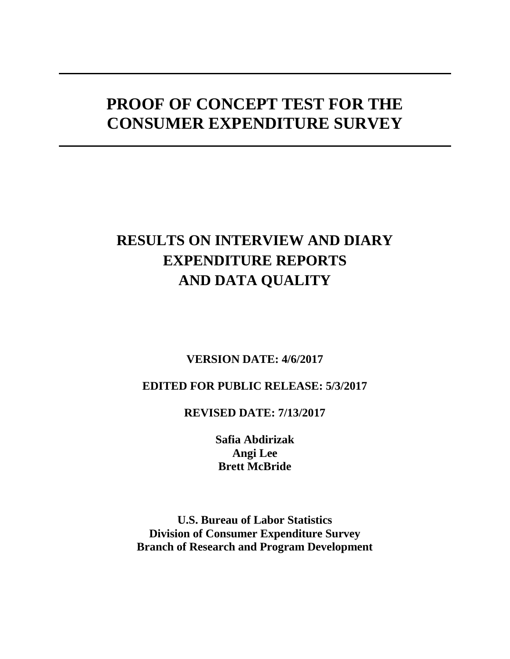# **PROOF OF CONCEPT TEST FOR THE CONSUMER EXPENDITURE SURVEY**

# **RESULTS ON INTERVIEW AND DIARY EXPENDITURE REPORTS AND DATA QUALITY**

# **VERSION DATE: 4/6/2017**

# **EDITED FOR PUBLIC RELEASE: 5/3/2017**

# **REVISED DATE: 7/13/2017**

**Safia Abdirizak Angi Lee Brett McBride**

**U.S. Bureau of Labor Statistics Division of Consumer Expenditure Survey Branch of Research and Program Development**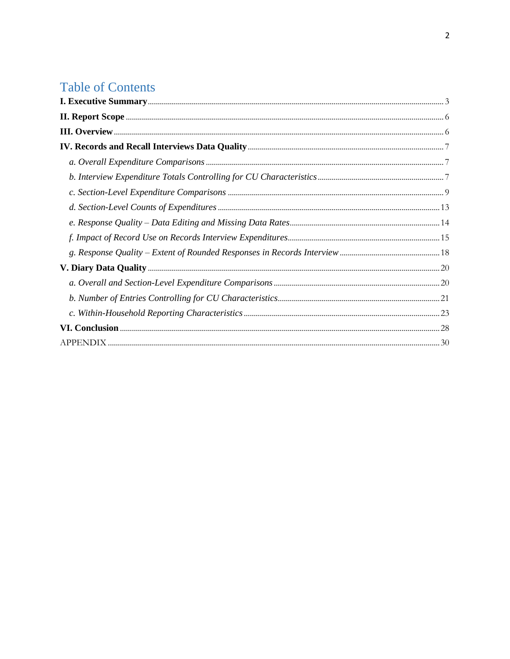# **Table of Contents**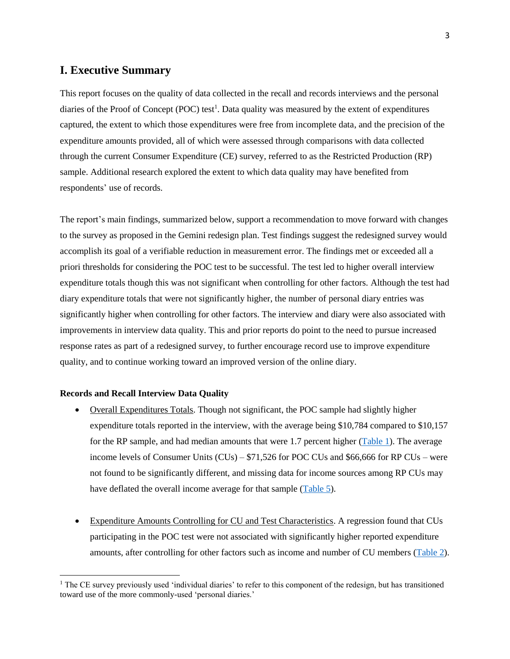# <span id="page-2-0"></span>**I. Executive Summary**

This report focuses on the quality of data collected in the recall and records interviews and the personal diaries of the Proof of Concept (POC) test<sup>1</sup>. Data quality was measured by the extent of expenditures captured, the extent to which those expenditures were free from incomplete data, and the precision of the expenditure amounts provided, all of which were assessed through comparisons with data collected through the current Consumer Expenditure (CE) survey, referred to as the Restricted Production (RP) sample. Additional research explored the extent to which data quality may have benefited from respondents' use of records.

The report's main findings, summarized below, support a recommendation to move forward with changes to the survey as proposed in the Gemini redesign plan. Test findings suggest the redesigned survey would accomplish its goal of a verifiable reduction in measurement error. The findings met or exceeded all a priori thresholds for considering the POC test to be successful. The test led to higher overall interview expenditure totals though this was not significant when controlling for other factors. Although the test had diary expenditure totals that were not significantly higher, the number of personal diary entries was significantly higher when controlling for other factors. The interview and diary were also associated with improvements in interview data quality. This and prior reports do point to the need to pursue increased response rates as part of a redesigned survey, to further encourage record use to improve expenditure quality, and to continue working toward an improved version of the online diary.

#### **Records and Recall Interview Data Quality**

 $\ddot{\phantom{a}}$ 

- Overall Expenditures Totals. Though not significant, the POC sample had slightly higher expenditure totals reported in the interview, with the average being \$10,784 compared to \$10,157 for the RP sample, and had median amounts that were 1.7 percent higher [\(Table 1\)](#page-6-3). The average income levels of Consumer Units (CUs) – \$71,526 for POC CUs and \$66,666 for RP CUs – were not found to be significantly different, and missing data for income sources among RP CUs may have deflated the overall income average for that sample [\(Table 5\)](#page-9-0).
- Expenditure Amounts Controlling for CU and Test Characteristics. A regression found that CUs participating in the POC test were not associated with significantly higher reported expenditure amounts, after controlling for other factors such as income and number of CU members [\(Table 2\)](#page-7-0).

<sup>&</sup>lt;sup>1</sup> The CE survey previously used 'individual diaries' to refer to this component of the redesign, but has transitioned toward use of the more commonly-used 'personal diaries.'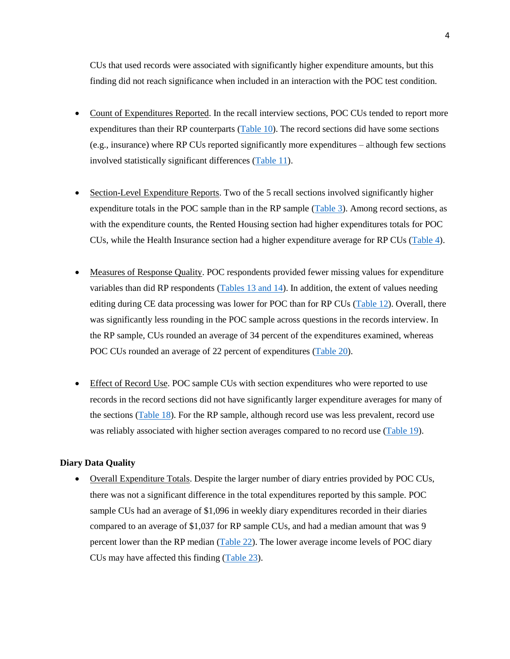CUs that used records were associated with significantly higher expenditure amounts, but this finding did not reach significance when included in an interaction with the POC test condition.

- Count of Expenditures Reported. In the recall interview sections, POC CUs tended to report more expenditures than their RP counterparts [\(Table 10\)](#page-12-1). The record sections did have some sections (e.g., insurance) where RP CUs reported significantly more expenditures – although few sections involved statistically significant differences [\(Table 11\)](#page-12-2).
- Section-Level Expenditure Reports. Two of the 5 recall sections involved significantly higher expenditure totals in the POC sample than in the RP sample [\(Table 3\)](#page-8-1). Among record sections, as with the expenditure counts, the Rented Housing section had higher expenditures totals for POC CUs, while the Health Insurance section had a higher expenditure average for RP CUs [\(Table 4\)](#page-8-2).
- Measures of Response Quality. POC respondents provided fewer missing values for expenditure variables than did RP respondents  $(Tables 13 and 14)$  $(Tables 13 and 14)$ . In addition, the extent of values needing editing during CE data processing was lower for POC than for RP CUs [\(Table 12\)](#page-13-2). Overall, there was significantly less rounding in the POC sample across questions in the records interview. In the RP sample, CUs rounded an average of 34 percent of the expenditures examined, whereas POC CUs rounded an average of 22 percent of expenditures [\(Table 20\)](#page-18-0).
- Effect of Record Use. POC sample CUs with section expenditures who were reported to use records in the record sections did not have significantly larger expenditure averages for many of the sections [\(Table 18\)](#page-15-0). For the RP sample, although record use was less prevalent, record use was reliably associated with higher section averages compared to no record use [\(Table 19\)](#page-16-0).

#### **Diary Data Quality**

 Overall Expenditure Totals. Despite the larger number of diary entries provided by POC CUs, there was not a significant difference in the total expenditures reported by this sample. POC sample CUs had an average of \$1,096 in weekly diary expenditures recorded in their diaries compared to an average of \$1,037 for RP sample CUs, and had a median amount that was 9 percent lower than the RP median [\(Table 22\)](#page-19-2). The lower average income levels of POC diary CUs may have affected this finding [\(Table 23\)](#page-19-3).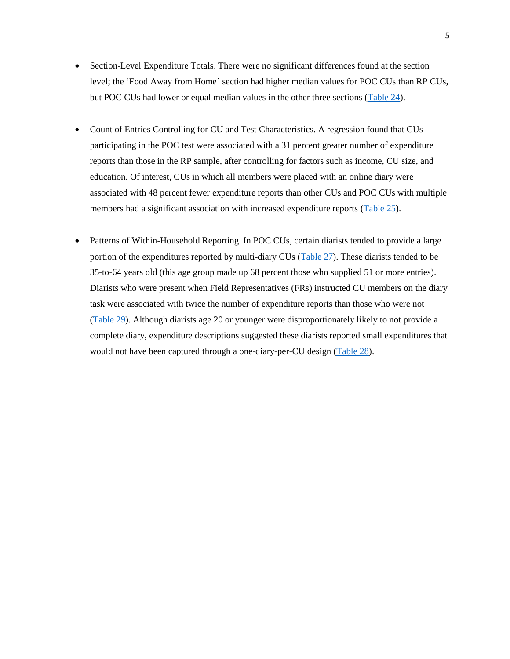- Section-Level Expenditure Totals. There were no significant differences found at the section level; the 'Food Away from Home' section had higher median values for POC CUs than RP CUs, but POC CUs had lower or equal median values in the other three sections [\(Table 24\)](#page-20-1).
- Count of Entries Controlling for CU and Test Characteristics. A regression found that CUs participating in the POC test were associated with a 31 percent greater number of expenditure reports than those in the RP sample, after controlling for factors such as income, CU size, and education. Of interest, CUs in which all members were placed with an online diary were associated with 48 percent fewer expenditure reports than other CUs and POC CUs with multiple members had a significant association with increased expenditure reports [\(Table 25\)](#page-21-0).
- Patterns of Within-Household Reporting. In POC CUs, certain diarists tended to provide a large portion of the expenditures reported by multi-diary CUs [\(Table 27\)](#page-23-0). These diarists tended to be 35-to-64 years old (this age group made up 68 percent those who supplied 51 or more entries). Diarists who were present when Field Representatives (FRs) instructed CU members on the diary task were associated with twice the number of expenditure reports than those who were not [\(Table 29\)](#page-24-0). Although diarists age 20 or younger were disproportionately likely to not provide a complete diary, expenditure descriptions suggested these diarists reported small expenditures that would not have been captured through a one-diary-per-CU design [\(Table 28\)](#page-24-1).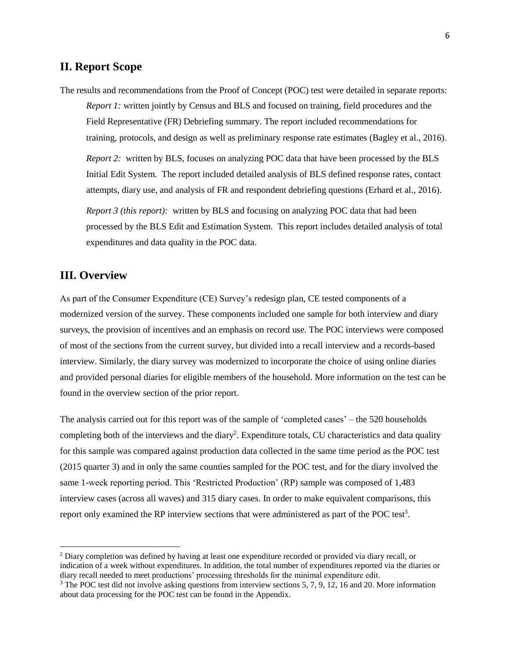## <span id="page-5-0"></span>**II. Report Scope**

The results and recommendations from the Proof of Concept (POC) test were detailed in separate reports: *Report 1:* written jointly by Census and BLS and focused on training, field procedures and the Field Representative (FR) Debriefing summary. The report included recommendations for training, protocols, and design as well as preliminary response rate estimates (Bagley et al., 2016).

*[Report 2:](file://filer1/dces/dces-brpd/Research%20Library/Documents/erhard-et-al-proof-of-concept-test-final-report-(2-of-3).pdf)* written by BLS, focuses on analyzing POC data that have been processed by the BLS Initial Edit System. The report included detailed analysis of BLS defined response rates, contact attempts, diary use, and analysis of FR and respondent debriefing questions (Erhard et al., 2016).

*Report 3 (this report):* written by BLS and focusing on analyzing POC data that had been processed by the BLS Edit and Estimation System. This report includes detailed analysis of total expenditures and data quality in the POC data.

## <span id="page-5-1"></span>**III. Overview**

 $\ddot{\phantom{a}}$ 

As part of the Consumer Expenditure (CE) Survey's redesign plan, CE tested components of a modernized version of the survey. These components included one sample for both interview and diary surveys, the provision of incentives and an emphasis on record use. The POC interviews were composed of most of the sections from the current survey, but divided into a recall interview and a records-based interview. Similarly, the diary survey was modernized to incorporate the choice of using online diaries and provided personal diaries for eligible members of the household. More information on the test can be found in the overview section of the prior report.

The analysis carried out for this report was of the sample of 'completed cases' – the 520 households completing both of the interviews and the diary<sup>2</sup>. Expenditure totals, CU characteristics and data quality for this sample was compared against production data collected in the same time period as the POC test (2015 quarter 3) and in only the same counties sampled for the POC test, and for the diary involved the same 1-week reporting period. This 'Restricted Production' (RP) sample was composed of 1,483 interview cases (across all waves) and 315 diary cases. In order to make equivalent comparisons, this report only examined the RP interview sections that were administered as part of the POC test<sup>3</sup>.

<sup>&</sup>lt;sup>2</sup> Diary completion was defined by having at least one expenditure recorded or provided via diary recall, or indication of a week without expenditures. In addition, the total number of expenditures reported via the diaries or diary recall needed to meet productions' processing thresholds for the minimal expenditure edit.

<sup>&</sup>lt;sup>3</sup> The POC test did not involve asking questions from interview sections 5, 7, 9, 12, 16 and 20. More information about data processing for the POC test can be found in the Appendix.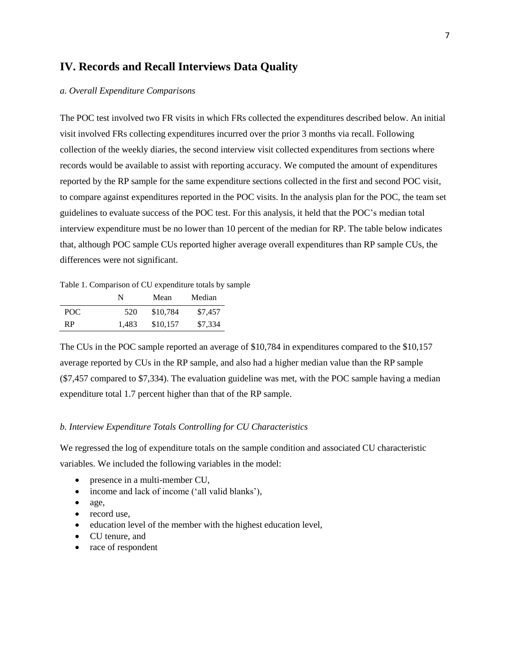## <span id="page-6-0"></span>**IV. Records and Recall Interviews Data Quality**

#### <span id="page-6-1"></span>*a. Overall Expenditure Comparisons*

The POC test involved two FR visits in which FRs collected the expenditures described below. An initial visit involved FRs collecting expenditures incurred over the prior 3 months via recall. Following collection of the weekly diaries, the second interview visit collected expenditures from sections where records would be available to assist with reporting accuracy. We computed the amount of expenditures reported by the RP sample for the same expenditure sections collected in the first and second POC visit, to compare against expenditures reported in the POC visits. In the analysis plan for the POC, the team set guidelines to evaluate success of the POC test. For this analysis, it held that the POC's median total interview expenditure must be no lower than 10 percent of the median for RP. The table below indicates that, although POC sample CUs reported higher average overall expenditures than RP sample CUs, the differences were not significant.

<span id="page-6-3"></span>Table 1. Comparison of CU expenditure totals by sample

|     | N     | Mean     | Median  |
|-----|-------|----------|---------|
| POC | 520   | \$10.784 | \$7,457 |
| RP  | 1.483 | \$10,157 | \$7,334 |

The CUs in the POC sample reported an average of \$10,784 in expenditures compared to the \$10,157 average reported by CUs in the RP sample, and also had a higher median value than the RP sample (\$7,457 compared to \$7,334). The evaluation guideline was met, with the POC sample having a median expenditure total 1.7 percent higher than that of the RP sample.

#### <span id="page-6-2"></span>*b. Interview Expenditure Totals Controlling for CU Characteristics*

We regressed the log of expenditure totals on the sample condition and associated CU characteristic variables. We included the following variables in the model:

- presence in a multi-member CU,
- income and lack of income ('all valid blanks'),
- age,
- record use,
- education level of the member with the highest education level,
- CU tenure, and
- race of respondent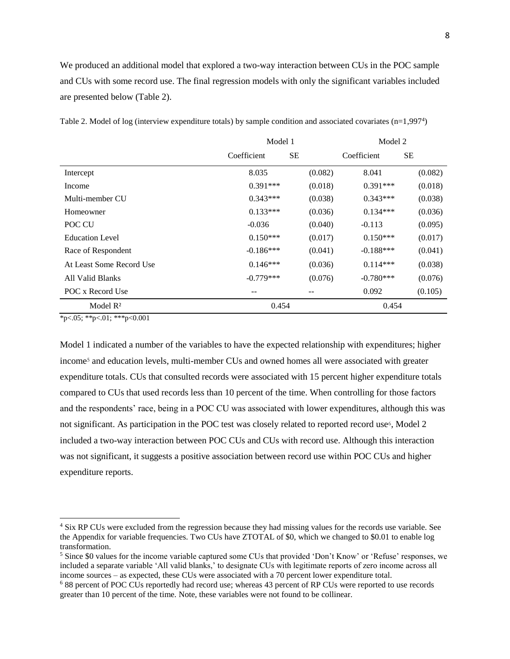We produced an additional model that explored a two-way interaction between CUs in the POC sample and CUs with some record use. The final regression models with only the significant variables included are presented below (Table 2).

|                          | Model 1     | Model 2   |             |           |
|--------------------------|-------------|-----------|-------------|-----------|
|                          | Coefficient | <b>SE</b> | Coefficient | <b>SE</b> |
| Intercept                | 8.035       | (0.082)   | 8.041       | (0.082)   |
| Income                   | $0.391***$  | (0.018)   | $0.391***$  | (0.018)   |
| Multi-member CU          | $0.343***$  | (0.038)   | $0.343***$  | (0.038)   |
| Homeowner                | $0.133***$  | (0.036)   | $0.134***$  | (0.036)   |
| POC CU                   | $-0.036$    | (0.040)   | $-0.113$    | (0.095)   |
| <b>Education Level</b>   | $0.150***$  | (0.017)   | $0.150***$  | (0.017)   |
| Race of Respondent       | $-0.186***$ | (0.041)   | $-0.188***$ | (0.041)   |
| At Least Some Record Use | $0.146***$  | (0.036)   | $0.114***$  | (0.038)   |
| All Valid Blanks         | $-0.779***$ | (0.076)   | $-0.780***$ | (0.076)   |
| POC x Record Use         | --          | --        | 0.092       | (0.105)   |
| Model $R^2$              | 0.454       |           | 0.454       |           |

<span id="page-7-0"></span>Table 2. Model of log (interview expenditure totals) by sample condition and associated covariates (n=1,997<sup>4</sup> )

 $*p<0.05$ ;  $*p<0.1$ ;  $**p<0.001$ 

 $\ddot{\phantom{a}}$ 

Model 1 indicated a number of the variables to have the expected relationship with expenditures; higher income<sup>5</sup> and education levels, multi-member CUs and owned homes all were associated with greater expenditure totals. CUs that consulted records were associated with 15 percent higher expenditure totals compared to CUs that used records less than 10 percent of the time. When controlling for those factors and the respondents' race, being in a POC CU was associated with lower expenditures, although this was not significant. As participation in the POC test was closely related to reported record use<sup>6</sup>, Model 2 included a two-way interaction between POC CUs and CUs with record use. Although this interaction was not significant, it suggests a positive association between record use within POC CUs and higher expenditure reports.

<sup>4</sup> Six RP CUs were excluded from the regression because they had missing values for the records use variable. See the Appendix for variable frequencies. Two CUs have ZTOTAL of \$0, which we changed to \$0.01 to enable log transformation.

<sup>5</sup> Since \$0 values for the income variable captured some CUs that provided 'Don't Know' or 'Refuse' responses, we included a separate variable 'All valid blanks,' to designate CUs with legitimate reports of zero income across all income sources – as expected, these CUs were associated with a 70 percent lower expenditure total.

<sup>6</sup> 88 percent of POC CUs reportedly had record use; whereas 43 percent of RP CUs were reported to use records greater than 10 percent of the time. Note, these variables were not found to be collinear.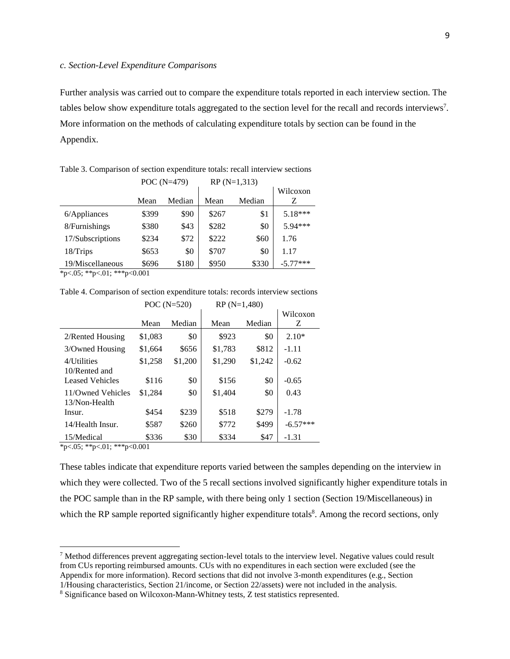<span id="page-8-0"></span>Further analysis was carried out to compare the expenditure totals reported in each interview section. The tables below show expenditure totals aggregated to the section level for the recall and records interviews<sup>7</sup>. More information on the methods of calculating expenditure totals by section can be found in the Appendix.

|                  |       | POC $(N=479)$ | $RP(N=1,313)$ |        |            |
|------------------|-------|---------------|---------------|--------|------------|
|                  |       |               |               |        | Wilcoxon   |
|                  | Mean  | Median        | Mean          | Median | Z          |
| $6$ /Appliances  | \$399 | \$90          | \$267         | \$1    | $5.18***$  |
| 8/Furnishings    | \$380 | \$43          | \$282         | \$0    | 5.94***    |
| 17/Subscriptions | \$234 | \$72          | \$222         | \$60   | 1.76       |
| 18/Trips         | \$653 | \$0           | \$707         | \$0    | 1.17       |
| 19/Miscellaneous | \$696 | \$180         | \$950         | \$330  | $-5.77***$ |

<span id="page-8-1"></span>Table 3. Comparison of section expenditure totals: recall interview sections

 $*_{p<.05}$ ; \*\*p<.01; \*\*\*p<0.001

<span id="page-8-2"></span>Table 4. Comparison of section expenditure totals: records interview sections

|                   |         | POC $(N=520)$ | $RP(N=1,480)$ |         |            |
|-------------------|---------|---------------|---------------|---------|------------|
|                   |         |               |               |         | Wilcoxon   |
|                   | Mean    | Median        | Mean          | Median  | Z          |
| 2/Rented Housing  | \$1,083 | \$0           | \$923         | \$0     | $2.10*$    |
| 3/Owned Housing   | \$1,664 | \$656         | \$1,783       | \$812   | $-1.11$    |
| 4/Utilities       | \$1,258 | \$1,200       | \$1,290       | \$1,242 | $-0.62$    |
| 10/Rented and     |         |               |               |         |            |
| Leased Vehicles   | \$116   | \$0           | \$156         | \$0     | $-0.65$    |
| 11/Owned Vehicles | \$1,284 | \$0           | \$1,404       | \$0     | 0.43       |
| 13/Non-Health     |         |               |               |         |            |
| Insur.            | \$454   | \$239         | \$518         | \$279   | $-1.78$    |
| 14/Health Insur.  | \$587   | \$260         | \$772         | \$499   | $-6.57***$ |
| 15/Medical        | \$336   | \$30          | \$334         | \$47    | $-1.31$    |

 $*_{p<.05}$ ; \*\*p<.01; \*\*\*p<0.001

 $\ddot{\phantom{a}}$ 

These tables indicate that expenditure reports varied between the samples depending on the interview in which they were collected. Two of the 5 recall sections involved significantly higher expenditure totals in the POC sample than in the RP sample, with there being only 1 section (Section 19/Miscellaneous) in which the RP sample reported significantly higher expenditure totals<sup>8</sup>. Among the record sections, only

<sup>7</sup> Method differences prevent aggregating section-level totals to the interview level. Negative values could result from CUs reporting reimbursed amounts. CUs with no expenditures in each section were excluded (see the Appendix for more information). Record sections that did not involve 3-month expenditures (e.g., Section 1/Housing characteristics, Section 21/income, or Section 22/assets) were not included in the analysis.

<sup>8</sup> Significance based on Wilcoxon-Mann-Whitney tests, Z test statistics represented.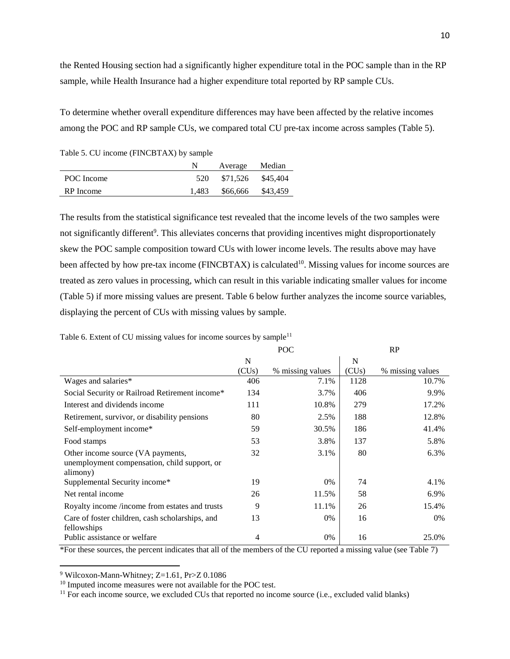the Rented Housing section had a significantly higher expenditure total in the POC sample than in the RP sample, while Health Insurance had a higher expenditure total reported by RP sample CUs.

To determine whether overall expenditure differences may have been affected by the relative incomes among the POC and RP sample CUs, we compared total CU pre-tax income across samples (Table 5).

<span id="page-9-0"></span>Table 5. CU income (FINCBTAX) by sample

|            | Average Median          |  |
|------------|-------------------------|--|
| POC Income | 520 \$71,526 \$45,404   |  |
| RP Income  | 1,483 \$66,666 \$43,459 |  |

The results from the statistical significance test revealed that the income levels of the two samples were not significantly different<sup>9</sup>. This alleviates concerns that providing incentives might disproportionately skew the POC sample composition toward CUs with lower income levels. The results above may have been affected by how pre-tax income (FINCBTAX) is calculated<sup>10</sup>. Missing values for income sources are treated as zero values in processing, which can result in this variable indicating smaller values for income (Table 5) if more missing values are present. Table 6 below further analyzes the income source variables, displaying the percent of CUs with missing values by sample.

|                                                                                               | POC   |                  |       | RP               |
|-----------------------------------------------------------------------------------------------|-------|------------------|-------|------------------|
|                                                                                               | N     |                  | N     |                  |
|                                                                                               | (CUs) | % missing values | (CUs) | % missing values |
| Wages and salaries*                                                                           | 406   | 7.1%             | 1128  | 10.7%            |
| Social Security or Railroad Retirement income*                                                | 134   | 3.7%             | 406   | 9.9%             |
| Interest and dividends income                                                                 | 111   | 10.8%            | 279   | 17.2%            |
| Retirement, survivor, or disability pensions                                                  | 80    | 2.5%             | 188   | 12.8%            |
| Self-employment income*                                                                       | 59    | 30.5%            | 186   | 41.4%            |
| Food stamps                                                                                   | 53    | 3.8%             | 137   | 5.8%             |
| Other income source (VA payments,<br>unemployment compensation, child support, or<br>alimony) | 32    | 3.1%             | 80    | 6.3%             |
| Supplemental Security income*                                                                 | 19    | 0%               | 74    | 4.1%             |
| Net rental income                                                                             | 26    | 11.5%            | 58    | 6.9%             |
| Royalty income /income from estates and trusts                                                | 9     | 11.1%            | 26    | 15.4%            |
| Care of foster children, cash scholarships, and<br>fellowships                                | 13    | 0%               | 16    | $0\%$            |
| Public assistance or welfare                                                                  | 4     | 0%               | 16    | 25.0%            |

Table 6. Extent of CU missing values for income sources by sample $11$ 

\*For these sources, the percent indicates that all of the members of the CU reported a missing value (see Table 7)

 $9$  Wilcoxon-Mann-Whitney; Z=1.61, Pr>Z 0.1086

 $\overline{a}$ 

<sup>10</sup> Imputed income measures were not available for the POC test.

 $11$  For each income source, we excluded CUs that reported no income source (i.e., excluded valid blanks)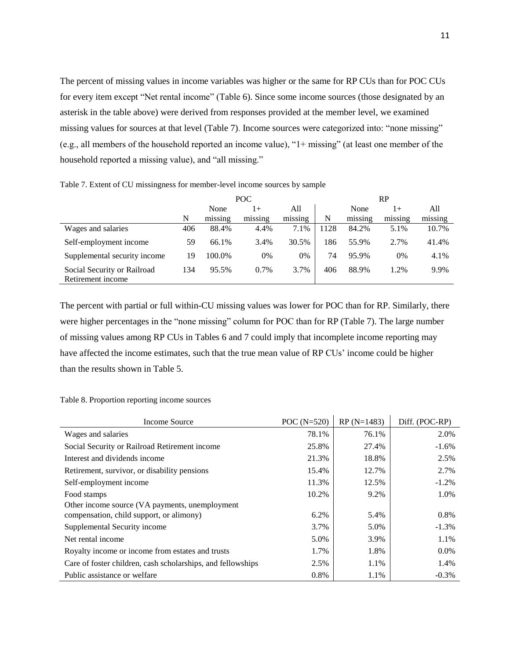The percent of missing values in income variables was higher or the same for RP CUs than for POC CUs for every item except "Net rental income" (Table 6). Since some income sources (those designated by an asterisk in the table above) were derived from responses provided at the member level, we examined missing values for sources at that level (Table 7). Income sources were categorized into: "none missing" (e.g., all members of the household reported an income value), "1+ missing" (at least one member of the household reported a missing value), and "all missing."

|                                                  | POC |         |                | RP             |      |         |         |         |
|--------------------------------------------------|-----|---------|----------------|----------------|------|---------|---------|---------|
|                                                  |     | None    | 1+             | All            |      | None    | $1+$    | All     |
|                                                  | N   | missing | . .<br>missing | . .<br>missing | N    | missing | missing | missing |
| Wages and salaries                               | 406 | 88.4%   | 4.4%           | 7.1%           | 1128 | 84.2%   | 5.1%    | 10.7%   |
| Self-employment income                           | 59  | 66.1%   | 3.4%           | 30.5%          | 186  | 55.9%   | 2.7%    | 41.4%   |
| Supplemental security income                     | 19  | 100.0%  | 0%             | 0%             | 74   | 95.9%   | 0%      | 4.1%    |
| Social Security or Railroad<br>Retirement income | 134 | 95.5%   | 0.7%           | 3.7%           | 406  | 88.9%   | 1.2%    | 9.9%    |

Table 7. Extent of CU missingness for member-level income sources by sample

The percent with partial or full within-CU missing values was lower for POC than for RP. Similarly, there were higher percentages in the "none missing" column for POC than for RP (Table 7). The large number of missing values among RP CUs in Tables 6 and 7 could imply that incomplete income reporting may have affected the income estimates, such that the true mean value of RP CUs' income could be higher than the results shown in Table 5.

#### Table 8. Proportion reporting income sources

| Income Source                                               | POC $(N=520)$ | $RP(N=1483)$ | Diff. (POC-RP) |
|-------------------------------------------------------------|---------------|--------------|----------------|
| Wages and salaries                                          | 78.1%         | 76.1%        | 2.0%           |
| Social Security or Railroad Retirement income               | 25.8%         | 27.4%        | $-1.6\%$       |
| Interest and dividends income                               | 21.3%         | 18.8%        | 2.5%           |
| Retirement, survivor, or disability pensions                | 15.4%         | 12.7%        | 2.7%           |
| Self-employment income                                      | 11.3%         | 12.5%        | $-1.2\%$       |
| Food stamps                                                 | 10.2%         | 9.2%         | 1.0%           |
| Other income source (VA payments, unemployment              |               |              |                |
| compensation, child support, or alimony)                    | 6.2%          | 5.4%         | 0.8%           |
| Supplemental Security income                                | 3.7%          | 5.0%         | $-1.3%$        |
| Net rental income                                           | 5.0%          | 3.9%         | 1.1%           |
| Royalty income or income from estates and trusts            | 1.7%          | 1.8%         | $0.0\%$        |
| Care of foster children, cash scholarships, and fellowships | 2.5%          | 1.1%         | 1.4%           |
| Public assistance or welfare                                | 0.8%          | 1.1%         | $-0.3%$        |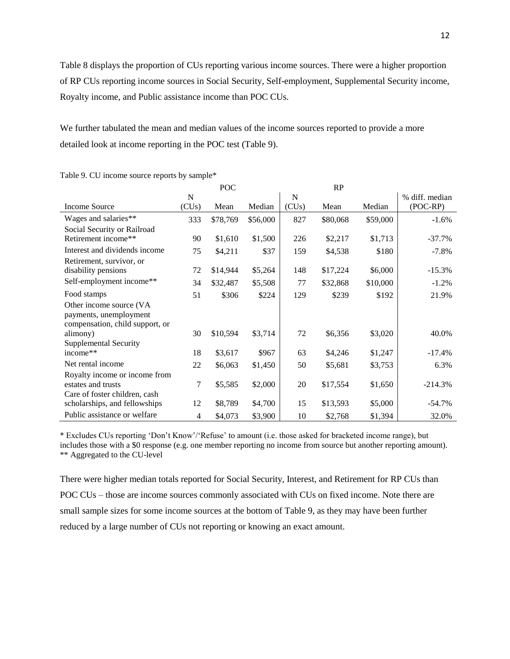Table 8 displays the proportion of CUs reporting various income sources. There were a higher proportion of RP CUs reporting income sources in Social Security, Self-employment, Supplemental Security income, Royalty income, and Public assistance income than POC CUs.

We further tabulated the mean and median values of the income sources reported to provide a more detailed look at income reporting in the POC test (Table 9).

|                                 |                | POC      |          |             | RP       |          |                |
|---------------------------------|----------------|----------|----------|-------------|----------|----------|----------------|
|                                 | $\mathbf N$    |          |          | $\mathbf N$ |          |          | % diff. median |
| Income Source                   | (CUs)          | Mean     | Median   | (CUs)       | Mean     | Median   | (POC-RP)       |
| Wages and salaries**            | 333            | \$78,769 | \$56,000 | 827         | \$80,068 | \$59,000 | $-1.6%$        |
| Social Security or Railroad     |                |          |          |             |          |          |                |
| Retirement income**             | 90             | \$1,610  | \$1,500  | 226         | \$2,217  | \$1,713  | $-37.7\%$      |
| Interest and dividends income   | 75             | \$4,211  | \$37     | 159         | \$4,538  | \$180    | $-7.8%$        |
| Retirement, survivor, or        |                |          |          |             |          |          |                |
| disability pensions             | 72             | \$14,944 | \$5,264  | 148         | \$17,224 | \$6,000  | $-15.3%$       |
| Self-employment income**        | 34             | \$32,487 | \$5,508  | 77          | \$32,868 | \$10,000 | $-1.2%$        |
| Food stamps                     | 51             | \$306    | \$224    | 129         | \$239    | \$192    | 21.9%          |
| Other income source (VA         |                |          |          |             |          |          |                |
| payments, unemployment          |                |          |          |             |          |          |                |
| compensation, child support, or |                |          |          |             |          |          |                |
| alimony)                        | 30             | \$10,594 | \$3,714  | 72          | \$6,356  | \$3,020  | 40.0%          |
| <b>Supplemental Security</b>    |                |          |          |             |          |          |                |
| income**                        | 18             | \$3,617  | \$967    | 63          | \$4,246  | \$1,247  | $-17.4%$       |
| Net rental income               | 22             | \$6,063  | \$1,450  | 50          | \$5,681  | \$3,753  | 6.3%           |
| Royalty income or income from   |                |          |          |             |          |          |                |
| estates and trusts              | 7              | \$5,585  | \$2,000  | 20          | \$17,554 | \$1,650  | $-214.3%$      |
| Care of foster children, cash   |                |          |          |             |          |          |                |
| scholarships, and fellowships   | 12             | \$8,789  | \$4,700  | 15          | \$13,593 | \$5,000  | $-54.7%$       |
| Public assistance or welfare    | $\overline{4}$ | \$4,073  | \$3,900  | 10          | \$2,768  | \$1,394  | 32.0%          |

Table 9. CU income source reports by sample\*

\* Excludes CUs reporting 'Don't Know'/'Refuse' to amount (i.e. those asked for bracketed income range), but includes those with a \$0 response (e.g. one member reporting no income from source but another reporting amount). \*\* Aggregated to the CU-level

There were higher median totals reported for Social Security, Interest, and Retirement for RP CUs than POC CUs – those are income sources commonly associated with CUs on fixed income. Note there are small sample sizes for some income sources at the bottom of Table 9, as they may have been further reduced by a large number of CUs not reporting or knowing an exact amount.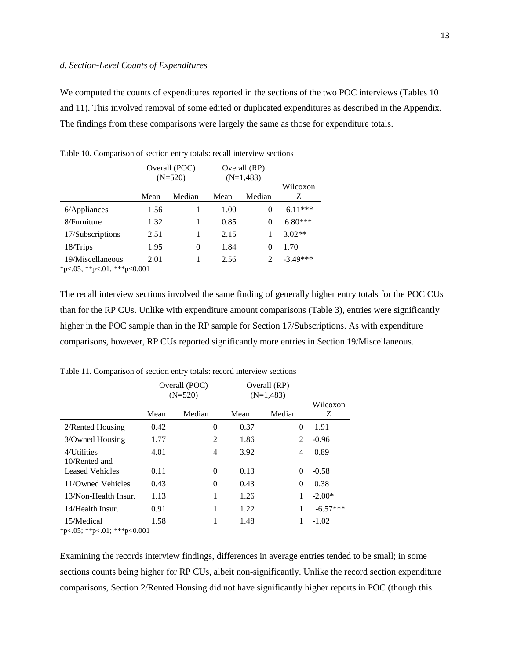#### <span id="page-12-0"></span>*d. Section-Level Counts of Expenditures*

We computed the counts of expenditures reported in the sections of the two POC interviews (Tables 10 and 11). This involved removal of some edited or duplicated expenditures as described in the Appendix. The findings from these comparisons were largely the same as those for expenditure totals.

|                                                                     |      | Overall (POC)<br>$(N=520)$ | Overall (RP)<br>$(N=1,483)$ |        |               |
|---------------------------------------------------------------------|------|----------------------------|-----------------------------|--------|---------------|
|                                                                     | Mean | Median                     | Mean                        | Median | Wilcoxon<br>Z |
| $6$ /Appliances                                                     | 1.56 |                            | 1.00                        | 0      | $6.11***$     |
| 8/Furniture                                                         | 1.32 | 1                          | 0.85                        | 0      | $6.80***$     |
| 17/Subscriptions                                                    | 2.51 |                            | 2.15                        |        | $3.02**$      |
| $18/T$ rips                                                         | 1.95 | 0                          | 1.84                        | 0      | 1.70          |
| 19/Miscellaneous<br>$x_{m} > 0.5$ , $x_{m} > 0.1$ , $x_{m} > 0.001$ | 2.01 |                            | 2.56                        | 2      | $-3.49***$    |

<span id="page-12-1"></span>Table 10. Comparison of section entry totals: recall interview sections

\*p<.05; \*\*p<.01; \*\*\*p<0.001

The recall interview sections involved the same finding of generally higher entry totals for the POC CUs than for the RP CUs. Unlike with expenditure amount comparisons (Table 3), entries were significantly higher in the POC sample than in the RP sample for Section 17/Subscriptions. As with expenditure comparisons, however, RP CUs reported significantly more entries in Section 19/Miscellaneous.

|                              | Overall (POC)<br>$(N=520)$ |          | Overall (RP)<br>$(N=1,483)$ | Wilcoxon       |            |
|------------------------------|----------------------------|----------|-----------------------------|----------------|------------|
|                              | Mean                       | Median   | Mean                        | Median         | Z          |
| 2/Rented Housing             | 0.42                       | 0        | 0.37                        | $\Omega$       | 1.91       |
| 3/Owned Housing              | 1.77                       | 2        | 1.86                        | $\mathfrak{D}$ | $-0.96$    |
| 4/Utilities<br>10/Rented and | 4.01                       | 4        | 3.92                        | 4              | 0.89       |
| <b>Leased Vehicles</b>       | 0.11                       | $\theta$ | 0.13                        | $\Omega$       | $-0.58$    |
| 11/Owned Vehicles            | 0.43                       | $\theta$ | 0.43                        | $\Omega$       | 0.38       |
| 13/Non-Health Insur.         | 1.13                       | 1        | 1.26                        |                | $-2.00*$   |
| 14/Health Insur.             | 0.91                       | 1        | 1.22                        | 1              | $-6.57***$ |
| 15/Medical                   | 1.58                       |          | 1.48                        |                | $-1.02$    |

<span id="page-12-2"></span>Table 11. Comparison of section entry totals: record interview sections

\*p<.05; \*\*p<.01; \*\*\*p<0.001

Examining the records interview findings, differences in average entries tended to be small; in some sections counts being higher for RP CUs, albeit non-significantly. Unlike the record section expenditure comparisons, Section 2/Rented Housing did not have significantly higher reports in POC (though this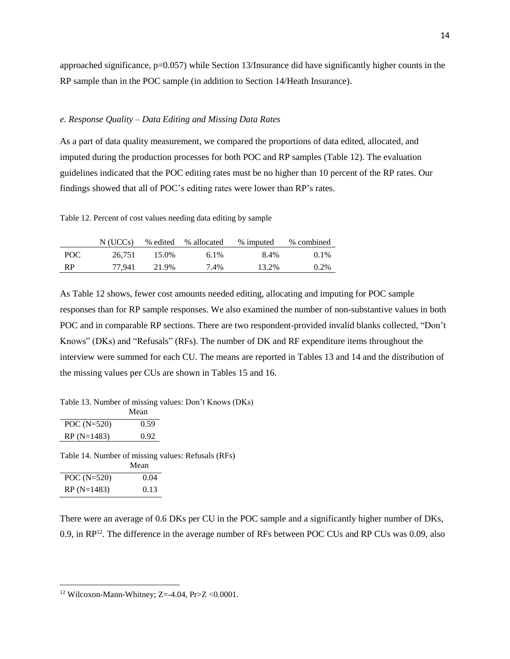approached significance,  $p=0.057$ ) while Section 13/Insurance did have significantly higher counts in the RP sample than in the POC sample (in addition to Section 14/Heath Insurance).

#### <span id="page-13-0"></span>*e. Response Quality – Data Editing and Missing Data Rates*

As a part of data quality measurement, we compared the proportions of data edited, allocated, and imputed during the production processes for both POC and RP samples (Table 12). The evaluation guidelines indicated that the POC editing rates must be no higher than 10 percent of the RP rates. Our findings showed that all of POC's editing rates were lower than RP's rates.

<span id="page-13-2"></span>Table 12. Percent of cost values needing data editing by sample

|      | N (UCCs) |       | % edited % allocated | % imputed | % combined |
|------|----------|-------|----------------------|-----------|------------|
| POC. | 26.751   | 15.0% | $6.1\%$              | 8.4%      | $0.1\%$    |
| -RP  | 77.941   | 21.9% | 7.4%                 | 13.2%     | $0.2\%$    |

As Table 12 shows, fewer cost amounts needed editing, allocating and imputing for POC sample responses than for RP sample responses. We also examined the number of non-substantive values in both POC and in comparable RP sections. There are two respondent-provided invalid blanks collected, "Don't Knows" (DKs) and "Refusals" (RFs). The number of DK and RF expenditure items throughout the interview were summed for each CU. The means are reported in Tables 13 and 14 and the distribution of the missing values per CUs are shown in Tables 15 and 16.

<span id="page-13-1"></span>Table 13. Number of missing values: Don't Knows (DKs)

|               | Mean |
|---------------|------|
| POC $(N=520)$ | 0.59 |
| $RP(N=1483)$  | 0.92 |

Table 14. Number of missing values: Refusals (RFs) Mean

|               | імсан |
|---------------|-------|
| POC $(N=520)$ | 0.04  |
| $RP(N=1483)$  | 0.13  |

 $\overline{a}$ 

There were an average of 0.6 DKs per CU in the POC sample and a significantly higher number of DKs, 0.9, in RP<sup>12</sup>. The difference in the average number of RFs between POC CUs and RP CUs was 0.09, also

<sup>&</sup>lt;sup>12</sup> Wilcoxon-Mann-Whitney; Z=-4.04, Pr>Z <0.0001.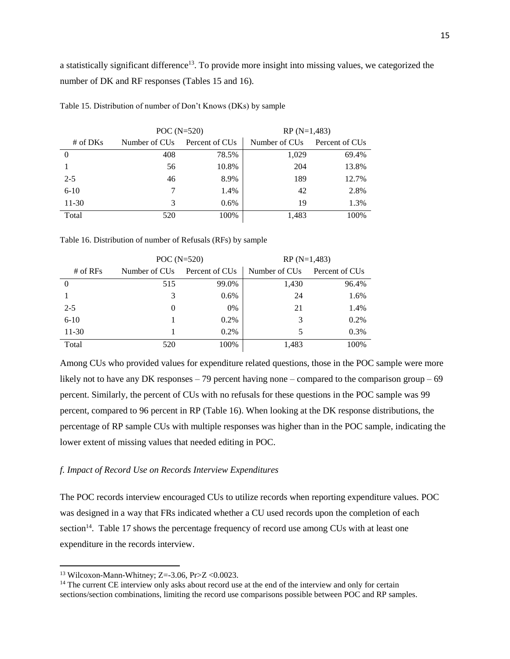a statistically significant difference<sup>13</sup>. To provide more insight into missing values, we categorized the number of DK and RF responses (Tables 15 and 16).

|            | POC $(N=520)$             |                            | $RP(N=1,483)$             |                            |
|------------|---------------------------|----------------------------|---------------------------|----------------------------|
| # of $DKs$ | Number of CU <sub>s</sub> | Percent of CU <sub>s</sub> | Number of CU <sub>s</sub> | Percent of CU <sub>s</sub> |
|            | 408                       | 78.5%                      | 1,029                     | 69.4%                      |
|            | 56                        | 10.8%                      | 204                       | 13.8%                      |
| $2 - 5$    | 46                        | 8.9%                       | 189                       | 12.7%                      |
| $6 - 10$   |                           | 1.4%                       | 42                        | 2.8%                       |
| $11 - 30$  | 3                         | $0.6\%$                    | 19                        | 1.3%                       |
| Total      | 520                       | 100%                       | 1,483                     | 100\%                      |

Table 15. Distribution of number of Don't Knows (DKs) by sample

Table 16. Distribution of number of Refusals (RFs) by sample

|            | POC $(N=520)$             |                            | $RP(N=1,483)$             |                            |
|------------|---------------------------|----------------------------|---------------------------|----------------------------|
| # of $RFs$ | Number of CU <sub>s</sub> | Percent of CU <sub>s</sub> | Number of CU <sub>s</sub> | Percent of CU <sub>s</sub> |
| $\theta$   | 515                       | 99.0%                      | 1,430                     | 96.4%                      |
|            | 3                         | $0.6\%$                    | 24                        | 1.6%                       |
| $2 - 5$    | $\Omega$                  | $0\%$                      | 21                        | 1.4%                       |
| $6 - 10$   |                           | 0.2%                       | 3                         | 0.2%                       |
| $11-30$    |                           | $0.2\%$                    |                           | 0.3%                       |
| Total      | 520                       | 100%                       | 1,483                     | 100%                       |

Among CUs who provided values for expenditure related questions, those in the POC sample were more likely not to have any DK responses  $-79$  percent having none – compared to the comparison group – 69 percent. Similarly, the percent of CUs with no refusals for these questions in the POC sample was 99 percent, compared to 96 percent in RP (Table 16). When looking at the DK response distributions, the percentage of RP sample CUs with multiple responses was higher than in the POC sample, indicating the lower extent of missing values that needed editing in POC.

#### <span id="page-14-0"></span>*f. Impact of Record Use on Records Interview Expenditures*

The POC records interview encouraged CUs to utilize records when reporting expenditure values. POC was designed in a way that FRs indicated whether a CU used records upon the completion of each section<sup>14</sup>. Table 17 shows the percentage frequency of record use among CUs with at least one expenditure in the records interview.

<sup>&</sup>lt;sup>13</sup> Wilcoxon-Mann-Whitney; Z=-3.06, Pr>Z <0.0023.

<sup>&</sup>lt;sup>14</sup> The current CE interview only asks about record use at the end of the interview and only for certain sections/section combinations, limiting the record use comparisons possible between POC and RP samples.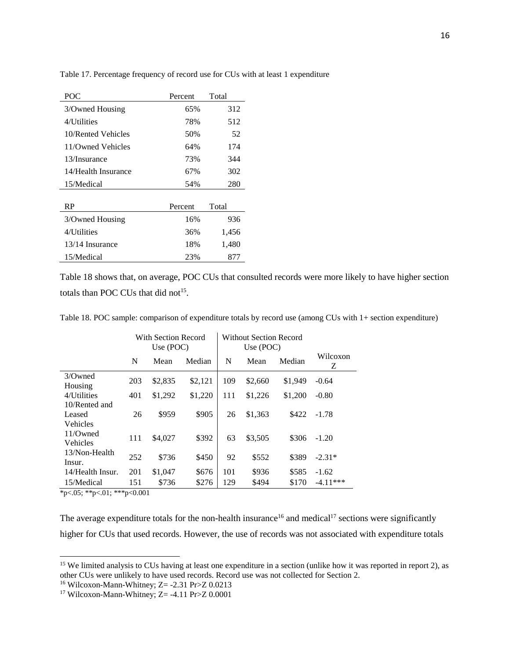| POC                 | Percent | Total |
|---------------------|---------|-------|
| 3/Owned Housing     | 65%     | 312   |
| 4/Utilities         | 78%     | 512   |
| 10/Rented Vehicles  | 50%     | 52    |
| 11/Owned Vehicles   | 64%     | 174   |
| 13/Insurance        | 73%     | 344   |
| 14/Health Insurance | 67%     | 302   |
| 15/Medical          | 54%     | 280   |
|                     |         |       |
| RP                  | Percent | Total |
| 3/Owned Housing     | 16%     | 936   |
| 4/Utilities         | 36%     | 1,456 |
| 13/14 Insurance     | 18%     | 1,480 |
| 15/Medical          | 23%     | 877   |

Table 17. Percentage frequency of record use for CUs with at least 1 expenditure

Table 18 shows that, on average, POC CUs that consulted records were more likely to have higher section totals than POC CUs that did not<sup>15</sup>.

<span id="page-15-0"></span>Table 18. POC sample: comparison of expenditure totals by record use (among CUs with 1+ section expenditure)

|                                     | With Section Record<br>Use $(POC)$ |         |         | Without Section Record<br>Use $(POC)$ |         |         |               |
|-------------------------------------|------------------------------------|---------|---------|---------------------------------------|---------|---------|---------------|
|                                     | N                                  | Mean    | Median  | N                                     | Mean    | Median  | Wilcoxon<br>Ζ |
| $3$ <i>Owned</i><br>Housing         | 203                                | \$2,835 | \$2,121 | 109                                   | \$2,660 | \$1,949 | $-0.64$       |
| 4/Utilities                         | 401                                | \$1,292 | \$1,220 | 111                                   | \$1,226 | \$1,200 | $-0.80$       |
| 10/Rented and<br>Leased<br>Vehicles | 26                                 | \$959   | \$905   | 26                                    | \$1,363 | \$422   | $-1.78$       |
| 11/Owned<br>Vehicles                | 111                                | \$4,027 | \$392   | 63                                    | \$3,505 | \$306   | $-1.20$       |
| 13/Non-Health<br>Insur.             | 252                                | \$736   | \$450   | 92                                    | \$552   | \$389   | $-2.31*$      |
| 14/Health Insur.                    | 201                                | \$1,047 | \$676   | 101                                   | \$936   | \$585   | $-1.62$       |
| 15/Medical                          | 151                                | \$736   | \$276   | 129                                   | \$494   | \$170   | $-4.11***$    |

\*p<.05; \*\*p<.01; \*\*\*p<0.001

 $\overline{a}$ 

The average expenditure totals for the non-health insurance<sup>16</sup> and medical<sup>17</sup> sections were significantly higher for CUs that used records. However, the use of records was not associated with expenditure totals

<sup>&</sup>lt;sup>15</sup> We limited analysis to CUs having at least one expenditure in a section (unlike how it was reported in report 2), as other CUs were unlikely to have used records. Record use was not collected for Section 2.

<sup>&</sup>lt;sup>16</sup> Wilcoxon-Mann-Whitney; Z= -2.31 Pr>Z 0.0213

<sup>&</sup>lt;sup>17</sup> Wilcoxon-Mann-Whitney; Z= -4.11 Pr>Z 0.0001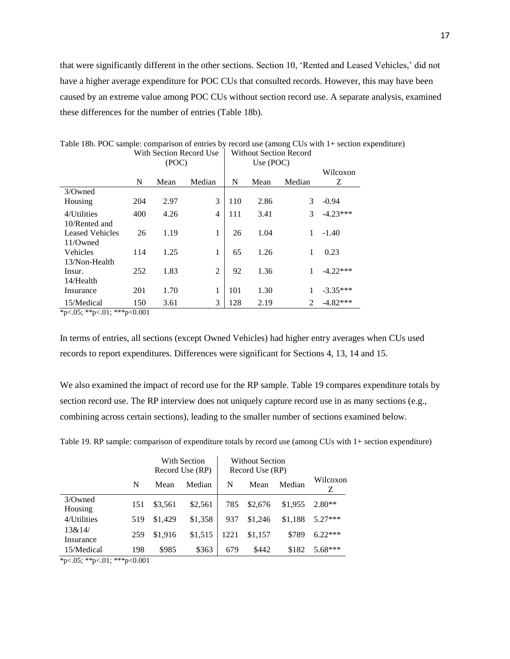that were significantly different in the other sections. Section 10, 'Rented and Leased Vehicles,' did not have a higher average expenditure for POC CUs that consulted records. However, this may have been caused by an extreme value among POC CUs without section record use. A separate analysis, examined these differences for the number of entries (Table 18b).

|                        | o nii seenon keegri ose<br>(POC) |      |                | oo ningul iseetigii ixeegfu<br>Use (POC) |      |        |               |
|------------------------|----------------------------------|------|----------------|------------------------------------------|------|--------|---------------|
|                        | N                                | Mean | Median         | N                                        | Mean | Median | Wilcoxon<br>Z |
| 3/Owned                |                                  |      |                |                                          |      |        |               |
| Housing                | 204                              | 2.97 | 3              | 110                                      | 2.86 | 3      | $-0.94$       |
| 4/Utilities            | 400                              | 4.26 | 4              | 111                                      | 3.41 | 3      | $-4.23***$    |
| 10/Rented and          |                                  |      |                |                                          |      |        |               |
| <b>Leased Vehicles</b> | 26                               | 1.19 | 1              | 26                                       | 1.04 | 1      | $-1.40$       |
| $11/O$ wned            |                                  |      |                |                                          |      |        |               |
| <b>Vehicles</b>        | 114                              | 1.25 | 1              | 65                                       | 1.26 | 1      | 0.23          |
| 13/Non-Health          |                                  |      |                |                                          |      |        |               |
| Insur.                 | 252                              | 1.83 | $\overline{2}$ | 92                                       | 1.36 | 1      | $-4.22***$    |
| 14/Health              |                                  |      |                |                                          |      |        |               |
| Insurance              | 201                              | 1.70 | 1              | 101                                      | 1.30 | 1      | $-3.35***$    |
| 15/Medical             | 150                              | 3.61 | 3              | 128                                      | 2.19 | 2      | $-4.82***$    |

Table 18b. POC sample: comparison of entries by record use (among CUs with 1+ section expenditure) With Section Record Use | Without Section Record

\*p<.05; \*\*p<.01; \*\*\*p<0.001

In terms of entries, all sections (except Owned Vehicles) had higher entry averages when CUs used records to report expenditures. Differences were significant for Sections 4, 13, 14 and 15.

We also examined the impact of record use for the RP sample. Table 19 compares expenditure totals by section record use. The RP interview does not uniquely capture record use in as many sections (e.g., combining across certain sections), leading to the smaller number of sections examined below.

|                             |     | With Section<br>Record Use (RP) |         | <b>Without Section</b><br>Record Use (RP) |         |         |               |
|-----------------------------|-----|---------------------------------|---------|-------------------------------------------|---------|---------|---------------|
|                             | N   | Mean                            | Median  | N                                         | Mean    | Median  | Wilcoxon<br>Z |
| $3$ <i>Owned</i><br>Housing | 151 | \$3,561                         | \$2,561 | 785                                       | \$2,676 | \$1,955 | $2.80**$      |
| 4/Utilities                 | 519 | \$1,429                         | \$1,358 | 937                                       | \$1,246 | \$1,188 | $5.27***$     |
| 13&14/<br>Insurance         | 259 | \$1,916                         | \$1,515 | 1221                                      | \$1.157 | \$789   | $6.22***$     |
| 15/Medical                  | 198 | \$985                           | \$363   | 679                                       | \$442   | \$182   | $5.68***$     |

<span id="page-16-0"></span>Table 19. RP sample: comparison of expenditure totals by record use (among CUs with 1+ section expenditure)

\*p<.05; \*\*p<.01; \*\*\*p<0.001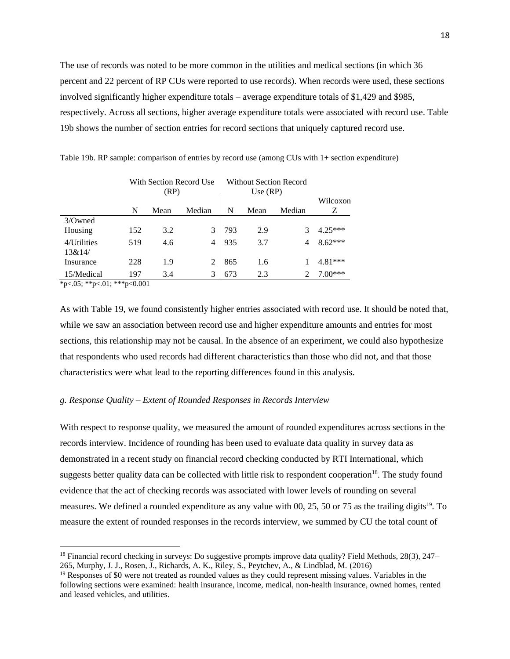The use of records was noted to be more common in the utilities and medical sections (in which 36 percent and 22 percent of RP CUs were reported to use records). When records were used, these sections involved significantly higher expenditure totals – average expenditure totals of \$1,429 and \$985, respectively. Across all sections, higher average expenditure totals were associated with record use. Table 19b shows the number of section entries for record sections that uniquely captured record use.

|                       | With Section Record Use<br>(RP) |      |                | Without Section Record<br>Use $(RP)$ |      |        |               |
|-----------------------|---------------------------------|------|----------------|--------------------------------------|------|--------|---------------|
|                       | N                               | Mean | Median         | N                                    | Mean | Median | Wilcoxon<br>Ζ |
| 3/Owned<br>Housing    | 152                             | 3.2  | 3              | 793                                  | 2.9  |        | $4.25***$     |
| 4/Utilities<br>13&14/ | 519                             | 4.6  | 4              | 935                                  | 3.7  | 4      | $8.62***$     |
| Insurance             | 228                             | 1.9  | $\overline{2}$ | 865                                  | 1.6  |        | $4.81***$     |
| 15/Medical            | 197                             | 3.4  | $\mathcal{F}$  | 673                                  | 2.3  |        | $7.00***$     |

Table 19b. RP sample: comparison of entries by record use (among CUs with 1+ section expenditure)

\*p<.05; \*\*p<.01; \*\*\*p<0.001

 $\ddot{\phantom{a}}$ 

As with Table 19, we found consistently higher entries associated with record use. It should be noted that, while we saw an association between record use and higher expenditure amounts and entries for most sections, this relationship may not be causal. In the absence of an experiment, we could also hypothesize that respondents who used records had different characteristics than those who did not, and that those characteristics were what lead to the reporting differences found in this analysis.

#### <span id="page-17-0"></span>*g. Response Quality – Extent of Rounded Responses in Records Interview*

With respect to response quality, we measured the amount of rounded expenditures across sections in the records interview. Incidence of rounding has been used to evaluate data quality in survey data as demonstrated in a recent study on financial record checking conducted by RTI International, which suggests better quality data can be collected with little risk to respondent cooperation<sup>18</sup>. The study found evidence that the act of checking records was associated with lower levels of rounding on several measures. We defined a rounded expenditure as any value with 00, 25, 50 or 75 as the trailing digits<sup>19</sup>. To measure the extent of rounded responses in the records interview, we summed by CU the total count of

<sup>18</sup> Financial record checking in surveys: Do suggestive prompts improve data quality? Field Methods, 28(3), 247– 265, Murphy, J. J., Rosen, J., Richards, A. K., Riley, S., Peytchev, A., & Lindblad, M. (2016)

<sup>&</sup>lt;sup>19</sup> Responses of \$0 were not treated as rounded values as they could represent missing values. Variables in the following sections were examined: health insurance, income, medical, non-health insurance, owned homes, rented and leased vehicles, and utilities.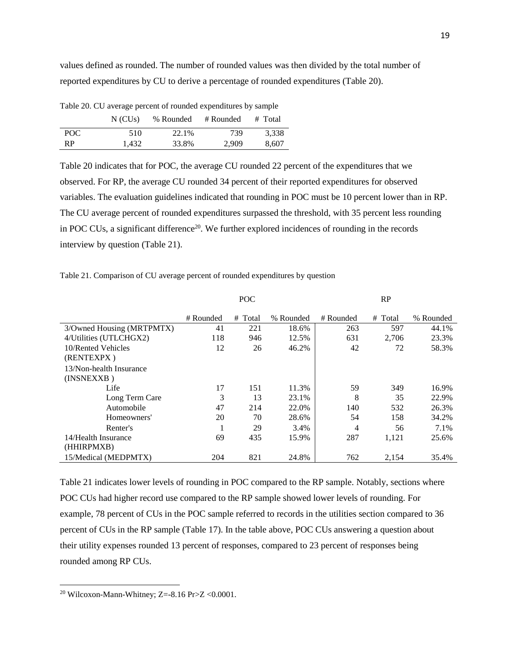values defined as rounded. The number of rounded values was then divided by the total number of reported expenditures by CU to derive a percentage of rounded expenditures (Table 20).

|           | $N$ (CU <sub>s</sub> ) | % Rounded | # Rounded | # Total |
|-----------|------------------------|-----------|-----------|---------|
| POC.      | 510                    | 22.1%     | 739       | 3.338   |
| <b>RP</b> | 1.432                  | 33.8%     | 2.909     | 8.607   |

<span id="page-18-0"></span>Table 20. CU average percent of rounded expenditures by sample

Table 20 indicates that for POC, the average CU rounded 22 percent of the expenditures that we observed. For RP, the average CU rounded 34 percent of their reported expenditures for observed variables. The evaluation guidelines indicated that rounding in POC must be 10 percent lower than in RP. The CU average percent of rounded expenditures surpassed the threshold, with 35 percent less rounding in POC CUs, a significant difference<sup>20</sup>. We further explored incidences of rounding in the records interview by question (Table 21).

|                           | <b>POC</b> |            |           | RP        |         |           |  |
|---------------------------|------------|------------|-----------|-----------|---------|-----------|--|
|                           | # Rounded  | Total<br># | % Rounded | # Rounded | # Total | % Rounded |  |
| 3/Owned Housing (MRTPMTX) | 41         | 221        | 18.6%     | 263       | 597     | 44.1%     |  |
| 4/Utilities (UTLCHGX2)    | 118        | 946        | 12.5%     | 631       | 2,706   | 23.3%     |  |
| 10/Rented Vehicles        | 12         | 26         | 46.2%     | 42        | 72      | 58.3%     |  |
| (RENTEXPX)                |            |            |           |           |         |           |  |
| 13/Non-health Insurance   |            |            |           |           |         |           |  |
| (INSNEXXB)                |            |            |           |           |         |           |  |
| Life                      | 17         | 151        | 11.3%     | 59        | 349     | 16.9%     |  |
| Long Term Care            | 3          | 13         | 23.1%     | 8         | 35      | 22.9%     |  |
| Automobile                | 47         | 214        | 22.0%     | 140       | 532     | 26.3%     |  |
| Homeowners'               | 20         | 70         | 28.6%     | 54        | 158     | 34.2%     |  |
| Renter's                  |            | 29         | 3.4%      | 4         | 56      | 7.1%      |  |
| 14/Health Insurance       | 69         | 435        | 15.9%     | 287       | 1,121   | 25.6%     |  |
| (HHIRPMXB)                |            |            |           |           |         |           |  |
| 15/Medical (MEDPMTX)      | 204        | 821        | 24.8%     | 762       | 2,154   | 35.4%     |  |

Table 21 indicates lower levels of rounding in POC compared to the RP sample. Notably, sections where POC CUs had higher record use compared to the RP sample showed lower levels of rounding. For example, 78 percent of CUs in the POC sample referred to records in the utilities section compared to 36 percent of CUs in the RP sample (Table 17). In the table above, POC CUs answering a question about their utility expenses rounded 13 percent of responses, compared to 23 percent of responses being rounded among RP CUs.

<sup>&</sup>lt;sup>20</sup> Wilcoxon-Mann-Whitney; Z=-8.16 Pr>Z <0.0001.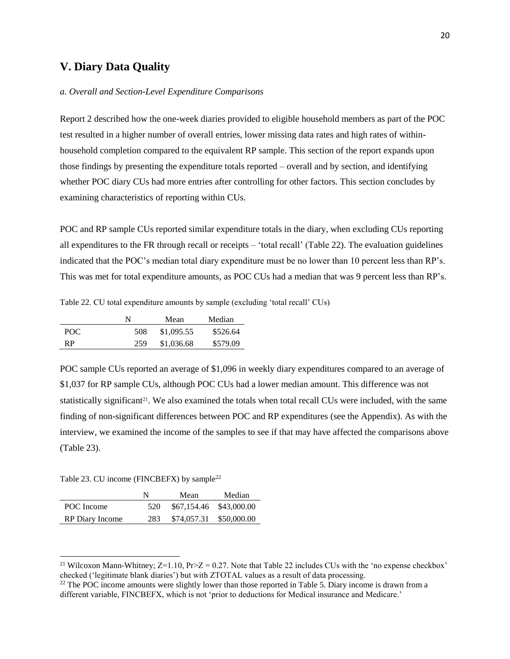# <span id="page-19-0"></span>**V. Diary Data Quality**

#### <span id="page-19-1"></span>*a. Overall and Section-Level Expenditure Comparisons*

Report 2 described how the one-week diaries provided to eligible household members as part of the POC test resulted in a higher number of overall entries, lower missing data rates and high rates of withinhousehold completion compared to the equivalent RP sample. This section of the report expands upon those findings by presenting the expenditure totals reported – overall and by section, and identifying whether POC diary CUs had more entries after controlling for other factors. This section concludes by examining characteristics of reporting within CUs.

POC and RP sample CUs reported similar expenditure totals in the diary, when excluding CUs reporting all expenditures to the FR through recall or receipts – 'total recall' (Table 22). The evaluation guidelines indicated that the POC's median total diary expenditure must be no lower than 10 percent less than RP's. This was met for total expenditure amounts, as POC CUs had a median that was 9 percent less than RP's.

<span id="page-19-2"></span>Table 22. CU total expenditure amounts by sample (excluding 'total recall' CUs)

|      | N   | Mean       | Median   |
|------|-----|------------|----------|
| POC. | 508 | \$1,095.55 | \$526.64 |
| RP   | 259 | \$1,036.68 | \$579.09 |

POC sample CUs reported an average of \$1,096 in weekly diary expenditures compared to an average of \$1,037 for RP sample CUs, although POC CUs had a lower median amount. This difference was not statistically significant<sup>21</sup>. We also examined the totals when total recall CUs were included, with the same finding of non-significant differences between POC and RP expenditures (see the Appendix). As with the interview, we examined the income of the samples to see if that may have affected the comparisons above (Table 23).

<span id="page-19-3"></span>Table 23. CU income (FINCBEFX) by sample<sup>22</sup>

|                        | N   | Mean                    | Median |
|------------------------|-----|-------------------------|--------|
| POC Income             | 520 | \$67,154.46 \$43,000.00 |        |
| <b>RP</b> Diary Income | 283 | \$74,057.31 \$50,000.00 |        |

<sup>&</sup>lt;sup>21</sup> Wilcoxon Mann-Whitney;  $Z=1.10$ ,  $Pr>Z = 0.27$ . Note that Table 22 includes CUs with the 'no expense checkbox' checked ('legitimate blank diaries') but with ZTOTAL values as a result of data processing.

 $^{22}$  The POC income amounts were slightly lower than those reported in Table 5. Diary income is drawn from a different variable, FINCBEFX, which is not 'prior to deductions for Medical insurance and Medicare.'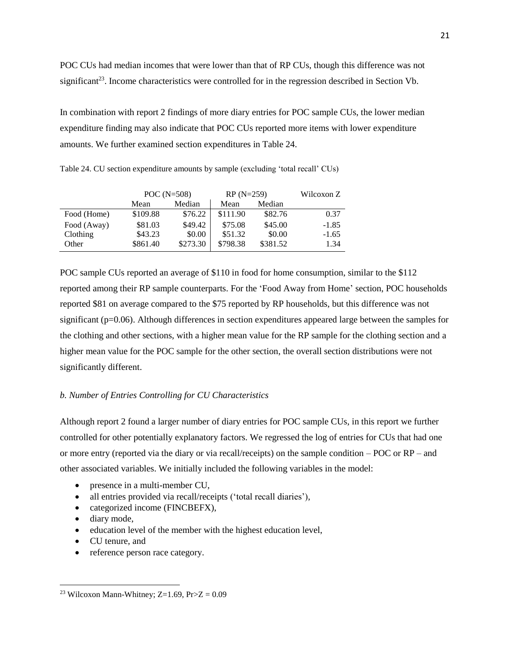POC CUs had median incomes that were lower than that of RP CUs, though this difference was not significant<sup>23</sup>. Income characteristics were controlled for in the regression described in Section Vb.

In combination with report 2 findings of more diary entries for POC sample CUs, the lower median expenditure finding may also indicate that POC CUs reported more items with lower expenditure amounts. We further examined section expenditures in Table 24.

|             | POC $(N=508)$ |          | $RP(N=259)$ | Wilcoxon Z |         |
|-------------|---------------|----------|-------------|------------|---------|
|             | Mean          | Median   | Mean        | Median     |         |
| Food (Home) | \$109.88      | \$76.22  | \$111.90    | \$82.76    | 0.37    |
| Food (Away) | \$81.03       | \$49.42  | \$75.08     | \$45.00    | $-1.85$ |
| Clothing    | \$43.23       | \$0.00   | \$51.32     | \$0.00     | $-1.65$ |
| Other       | \$861.40      | \$273.30 | \$798.38    | \$381.52   | 1.34    |

<span id="page-20-1"></span>Table 24. CU section expenditure amounts by sample (excluding 'total recall' CUs)

POC sample CUs reported an average of \$110 in food for home consumption, similar to the \$112 reported among their RP sample counterparts. For the 'Food Away from Home' section, POC households reported \$81 on average compared to the \$75 reported by RP households, but this difference was not significant (p=0.06). Although differences in section expenditures appeared large between the samples for the clothing and other sections, with a higher mean value for the RP sample for the clothing section and a higher mean value for the POC sample for the other section, the overall section distributions were not significantly different.

### <span id="page-20-0"></span>*b. Number of Entries Controlling for CU Characteristics*

Although report 2 found a larger number of diary entries for POC sample CUs, in this report we further controlled for other potentially explanatory factors. We regressed the log of entries for CUs that had one or more entry (reported via the diary or via recall/receipts) on the sample condition – POC or RP – and other associated variables. We initially included the following variables in the model:

- presence in a multi-member CU,
- all entries provided via recall/receipts ('total recall diaries'),
- categorized income (FINCBEFX),
- diary mode.

- education level of the member with the highest education level,
- CU tenure, and
- reference person race category.

<sup>&</sup>lt;sup>23</sup> Wilcoxon Mann-Whitney; Z=1.69, Pr>Z =  $0.09$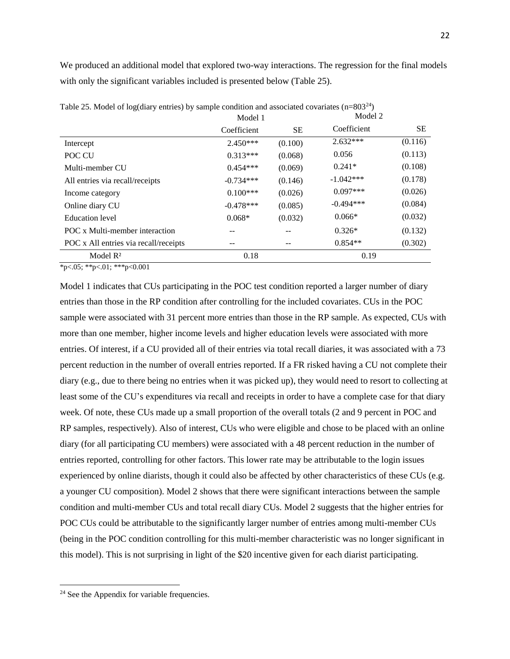We produced an additional model that explored two-way interactions. The regression for the final models with only the significant variables included is presented below (Table 25).

|                                       | Model 1     |         | Model 2     |         |
|---------------------------------------|-------------|---------|-------------|---------|
|                                       | Coefficient | SЕ      | Coefficient | SE.     |
| Intercept                             | $2.450***$  | (0.100) | $2.632***$  | (0.116) |
| POC CU                                | $0.313***$  | (0.068) | 0.056       | (0.113) |
| Multi-member CU                       | $0.454***$  | (0.069) | $0.241*$    | (0.108) |
| All entries via recall/receipts       | $-0.734***$ | (0.146) | $-1.042***$ | (0.178) |
| Income category                       | $0.100***$  | (0.026) | $0.097***$  | (0.026) |
| Online diary CU                       | $-0.478***$ | (0.085) | $-0.494***$ | (0.084) |
| Education level                       | $0.068*$    | (0.032) | $0.066*$    | (0.032) |
| POC x Multi-member interaction        |             |         | $0.326*$    | (0.132) |
| POC x All entries via recall/receipts |             |         | $0.854**$   | (0.302) |
| Model $R2$                            | 0.18        |         | 0.19        |         |

<span id="page-21-0"></span>Table 25. Model of log(diary entries) by sample condition and associated covariates (n=803<sup>24</sup>)

 $*p<.05$ ;  $*p<.01$ ;  $**p<.001$ 

Model 1 indicates that CUs participating in the POC test condition reported a larger number of diary entries than those in the RP condition after controlling for the included covariates. CUs in the POC sample were associated with 31 percent more entries than those in the RP sample. As expected, CUs with more than one member, higher income levels and higher education levels were associated with more entries. Of interest, if a CU provided all of their entries via total recall diaries, it was associated with a 73 percent reduction in the number of overall entries reported. If a FR risked having a CU not complete their diary (e.g., due to there being no entries when it was picked up), they would need to resort to collecting at least some of the CU's expenditures via recall and receipts in order to have a complete case for that diary week. Of note, these CUs made up a small proportion of the overall totals (2 and 9 percent in POC and RP samples, respectively). Also of interest, CUs who were eligible and chose to be placed with an online diary (for all participating CU members) were associated with a 48 percent reduction in the number of entries reported, controlling for other factors. This lower rate may be attributable to the login issues experienced by online diarists, though it could also be affected by other characteristics of these CUs (e.g. a younger CU composition). Model 2 shows that there were significant interactions between the sample condition and multi-member CUs and total recall diary CUs. Model 2 suggests that the higher entries for POC CUs could be attributable to the significantly larger number of entries among multi-member CUs (being in the POC condition controlling for this multi-member characteristic was no longer significant in this model). This is not surprising in light of the \$20 incentive given for each diarist participating.

<sup>&</sup>lt;sup>24</sup> See the Appendix for variable frequencies.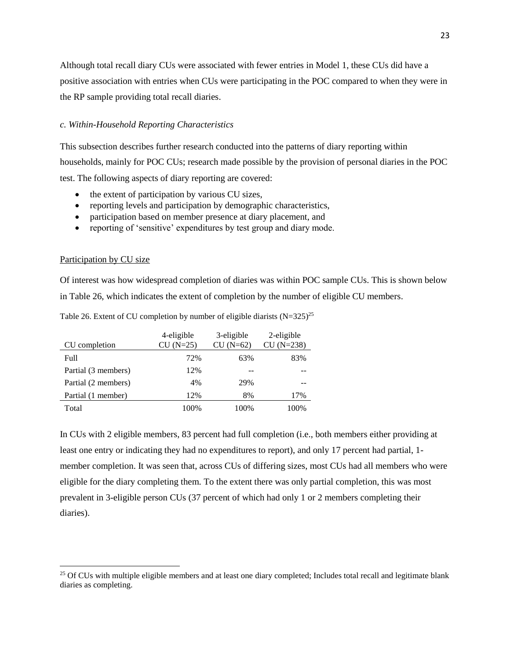Although total recall diary CUs were associated with fewer entries in Model 1, these CUs did have a positive association with entries when CUs were participating in the POC compared to when they were in the RP sample providing total recall diaries.

#### <span id="page-22-0"></span>*c. Within-Household Reporting Characteristics*

This subsection describes further research conducted into the patterns of diary reporting within households, mainly for POC CUs; research made possible by the provision of personal diaries in the POC test. The following aspects of diary reporting are covered:

- the extent of participation by various CU sizes,
- reporting levels and participation by demographic characteristics,
- participation based on member presence at diary placement, and
- reporting of 'sensitive' expenditures by test group and diary mode.

#### Participation by CU size

 $\overline{a}$ 

Of interest was how widespread completion of diaries was within POC sample CUs. This is shown below in Table 26, which indicates the extent of completion by the number of eligible CU members.

|                     | 4-eligible  | 3-eligible  | 2-eligible   |  |
|---------------------|-------------|-------------|--------------|--|
| CU completion       | $CU (N=25)$ | $CU (N=62)$ | $CU (N=238)$ |  |
| Full                | 72%         | 63%         | 83%          |  |
| Partial (3 members) | 12%         |             |              |  |
| Partial (2 members) | 4%          | 29%         |              |  |
| Partial (1 member)  | 12%         | 8%          | 17%          |  |
| Total               | 100%        | 100%        | 100%         |  |

Table 26. Extent of CU completion by number of eligible diarists  $(N=325)^{25}$ 

In CUs with 2 eligible members, 83 percent had full completion (i.e., both members either providing at least one entry or indicating they had no expenditures to report), and only 17 percent had partial, 1 member completion. It was seen that, across CUs of differing sizes, most CUs had all members who were eligible for the diary completing them. To the extent there was only partial completion, this was most prevalent in 3-eligible person CUs (37 percent of which had only 1 or 2 members completing their diaries).

<sup>&</sup>lt;sup>25</sup> Of CUs with multiple eligible members and at least one diary completed; Includes total recall and legitimate blank diaries as completing.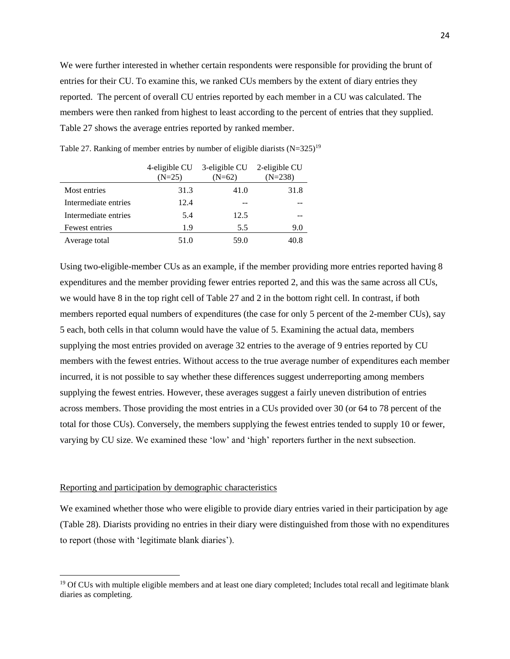We were further interested in whether certain respondents were responsible for providing the brunt of entries for their CU. To examine this, we ranked CUs members by the extent of diary entries they reported. The percent of overall CU entries reported by each member in a CU was calculated. The members were then ranked from highest to least according to the percent of entries that they supplied. Table 27 shows the average entries reported by ranked member.

|                      | 4-eligible CU<br>$(N=25)$ | 3-eligible CU<br>$(N=62)$ | 2-eligible CU<br>$(N=238)$ |
|----------------------|---------------------------|---------------------------|----------------------------|
|                      |                           |                           |                            |
| Most entries         | 31.3                      | 41.0                      | 31.8                       |
| Intermediate entries | 12.4                      |                           |                            |
| Intermediate entries | 5.4                       | 12.5                      |                            |
| Fewest entries       | 19                        | 5.5                       | 9.0                        |
| Average total        | 51.0                      | 59.0                      | 40.8                       |

<span id="page-23-0"></span>Table 27. Ranking of member entries by number of eligible diarists  $(N=325)^{19}$ 

Using two-eligible-member CUs as an example, if the member providing more entries reported having 8 expenditures and the member providing fewer entries reported 2, and this was the same across all CUs, we would have 8 in the top right cell of Table 27 and 2 in the bottom right cell. In contrast, if both members reported equal numbers of expenditures (the case for only 5 percent of the 2-member CUs), say 5 each, both cells in that column would have the value of 5. Examining the actual data, members supplying the most entries provided on average 32 entries to the average of 9 entries reported by CU members with the fewest entries. Without access to the true average number of expenditures each member incurred, it is not possible to say whether these differences suggest underreporting among members supplying the fewest entries. However, these averages suggest a fairly uneven distribution of entries across members. Those providing the most entries in a CUs provided over 30 (or 64 to 78 percent of the total for those CUs). Conversely, the members supplying the fewest entries tended to supply 10 or fewer, varying by CU size. We examined these 'low' and 'high' reporters further in the next subsection.

#### Reporting and participation by demographic characteristics

 $\ddot{\phantom{a}}$ 

We examined whether those who were eligible to provide diary entries varied in their participation by age (Table 28). Diarists providing no entries in their diary were distinguished from those with no expenditures to report (those with 'legitimate blank diaries').

<sup>&</sup>lt;sup>19</sup> Of CUs with multiple eligible members and at least one diary completed; Includes total recall and legitimate blank diaries as completing.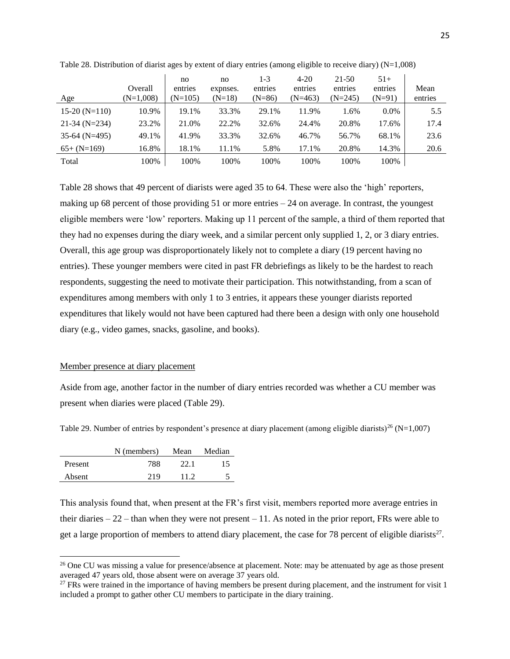| Age             | Overall<br>$(N=1,008)$ | no<br>entries<br>$(N=105)$ | no<br>expnses.<br>$(N=18)$ | 1-3<br>entries<br>$(N=86)$ | $4 - 20$<br>entries<br>$(N=463)$ | 21-50<br>entries<br>$(N=245)$ | $51+$<br>entries<br>$(N=91)$ | Mean<br>entries |
|-----------------|------------------------|----------------------------|----------------------------|----------------------------|----------------------------------|-------------------------------|------------------------------|-----------------|
| $15-20$ (N=110) | 10.9%                  | 19.1%                      | 33.3%                      | 29.1%                      | 11.9%                            | 1.6%                          | $0.0\%$                      | 5.5             |
| $21-34$ (N=234) | 23.2%                  | 21.0%                      | 22.2%                      | 32.6%                      | 24.4%                            | 20.8%                         | 17.6%                        | 17.4            |
| $35-64$ (N=495) | 49.1%                  | 41.9%                      | 33.3%                      | 32.6%                      | 46.7%                            | 56.7%                         | 68.1%                        | 23.6            |
| $65+ (N=169)$   | 16.8%                  | 18.1%                      | 11.1%                      | 5.8%                       | 17.1%                            | 20.8%                         | 14.3%                        | 20.6            |
| Total           | 100%                   | 100%                       | 100%                       | 100%                       | 100%                             | 100%                          | 100%                         |                 |

<span id="page-24-1"></span>Table 28. Distribution of diarist ages by extent of diary entries (among eligible to receive diary) (N=1,008)

Table 28 shows that 49 percent of diarists were aged 35 to 64. These were also the 'high' reporters, making up 68 percent of those providing  $51$  or more entries  $-24$  on average. In contrast, the youngest eligible members were 'low' reporters. Making up 11 percent of the sample, a third of them reported that they had no expenses during the diary week, and a similar percent only supplied 1, 2, or 3 diary entries. Overall, this age group was disproportionately likely not to complete a diary (19 percent having no entries). These younger members were cited in past FR debriefings as likely to be the hardest to reach respondents, suggesting the need to motivate their participation. This notwithstanding, from a scan of expenditures among members with only 1 to 3 entries, it appears these younger diarists reported expenditures that likely would not have been captured had there been a design with only one household diary (e.g., video games, snacks, gasoline, and books).

#### Member presence at diary placement

Aside from age, another factor in the number of diary entries recorded was whether a CU member was present when diaries were placed (Table 29).

<span id="page-24-0"></span>Table 29. Number of entries by respondent's presence at diary placement (among eligible diarists)<sup>26</sup> (N=1,007)

|         | N (members) | Mean | Median |
|---------|-------------|------|--------|
| Present | 788         | 22.1 | 15     |
| Absent  | 219         | 112  |        |

 $\overline{a}$ 

This analysis found that, when present at the FR's first visit, members reported more average entries in their diaries  $-22$  – than when they were not present  $-11$ . As noted in the prior report, FRs were able to get a large proportion of members to attend diary placement, the case for 78 percent of eligible diarists $^{27}$ .

<sup>&</sup>lt;sup>26</sup> One CU was missing a value for presence/absence at placement. Note: may be attenuated by age as those present averaged 47 years old, those absent were on average 37 years old.

<sup>&</sup>lt;sup>27</sup> FRs were trained in the importance of having members be present during placement, and the instrument for visit 1 included a prompt to gather other CU members to participate in the diary training.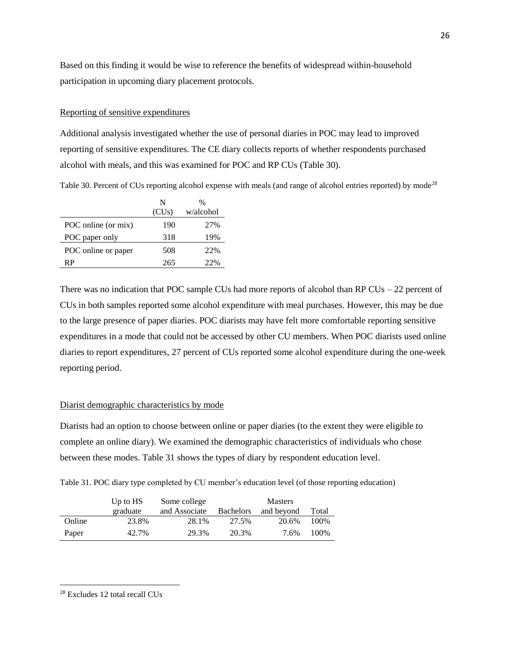Based on this finding it would be wise to reference the benefits of widespread within-household participation in upcoming diary placement protocols.

#### Reporting of sensitive expenditures

Additional analysis investigated whether the use of personal diaries in POC may lead to improved reporting of sensitive expenditures. The CE diary collects reports of whether respondents purchased alcohol with meals, and this was examined for POC and RP CUs (Table 30).

Table 30. Percent of CUs reporting alcohol expense with meals (and range of alcohol entries reported) by mode<sup>28</sup>

|                     | N     | %         |
|---------------------|-------|-----------|
|                     | (CUs) | w/alcohol |
| POC online (or mix) | 190   | 2.7%      |
| POC paper only      | 318   | 19%       |
| POC online or paper | 508   | 22%       |
| RΡ                  | 265   | 22%       |

There was no indication that POC sample CUs had more reports of alcohol than RP CUs – 22 percent of CUs in both samples reported some alcohol expenditure with meal purchases. However, this may be due to the large presence of paper diaries. POC diarists may have felt more comfortable reporting sensitive expenditures in a mode that could not be accessed by other CU members. When POC diarists used online diaries to report expenditures, 27 percent of CUs reported some alcohol expenditure during the one-week reporting period.

#### Diarist demographic characteristics by mode

Diarists had an option to choose between online or paper diaries (to the extent they were eligible to complete an online diary). We examined the demographic characteristics of individuals who chose between these modes. Table 31 shows the types of diary by respondent education level.

Table 31. POC diary type completed by CU member's education level (of those reporting education)

|        | Up to $HS$ | Some college  |                  | <b>Masters</b> |       |
|--------|------------|---------------|------------------|----------------|-------|
|        | graduate   | and Associate | <b>Bachelors</b> | and beyond     | Total |
| Online | 23.8%      | 28.1%         | 27.5%            | 20.6%          | 100\% |
| Paper  | 42.7%      | 29.3%         | 20.3%            | 7.6%           | 100\% |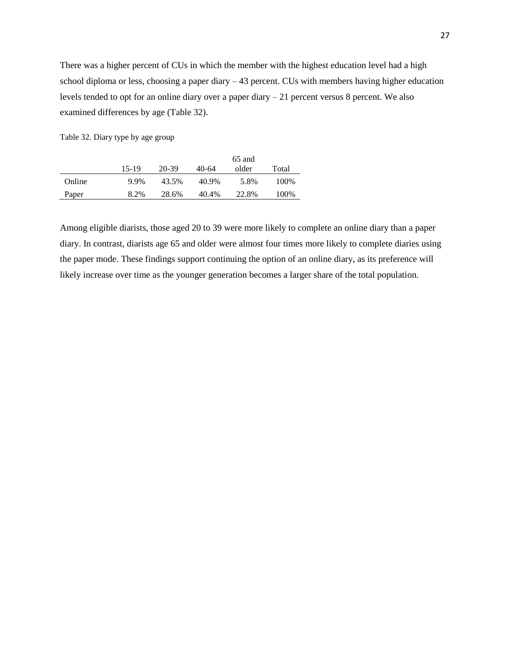There was a higher percent of CUs in which the member with the highest education level had a high school diploma or less, choosing a paper diary – 43 percent. CUs with members having higher education levels tended to opt for an online diary over a paper diary – 21 percent versus 8 percent. We also examined differences by age (Table 32).

Table 32. Diary type by age group

|        |       |       |       | 65 and |       |
|--------|-------|-------|-------|--------|-------|
|        | 15-19 | 20-39 | 40-64 | older  | Total |
| Online | 9.9%  | 43.5% | 40.9% | 5.8%   | 100%  |
| Paper  | 8.2%  | 28.6% | 40.4% | 22.8%  | 100%  |

Among eligible diarists, those aged 20 to 39 were more likely to complete an online diary than a paper diary. In contrast, diarists age 65 and older were almost four times more likely to complete diaries using the paper mode. These findings support continuing the option of an online diary, as its preference will likely increase over time as the younger generation becomes a larger share of the total population.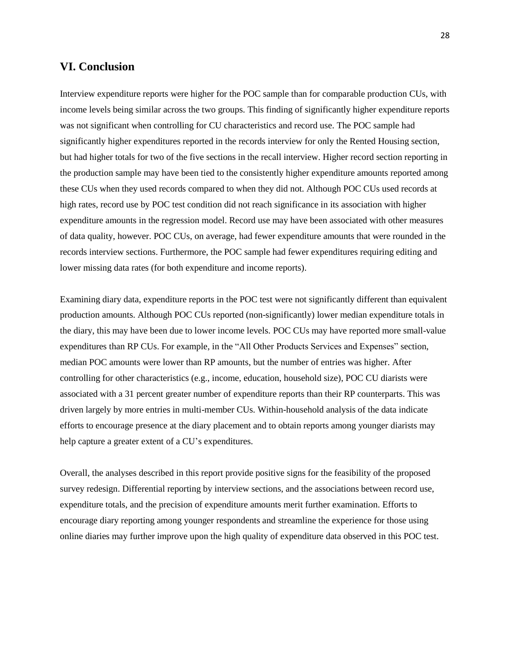## <span id="page-27-0"></span>**VI. Conclusion**

Interview expenditure reports were higher for the POC sample than for comparable production CUs, with income levels being similar across the two groups. This finding of significantly higher expenditure reports was not significant when controlling for CU characteristics and record use. The POC sample had significantly higher expenditures reported in the records interview for only the Rented Housing section, but had higher totals for two of the five sections in the recall interview. Higher record section reporting in the production sample may have been tied to the consistently higher expenditure amounts reported among these CUs when they used records compared to when they did not. Although POC CUs used records at high rates, record use by POC test condition did not reach significance in its association with higher expenditure amounts in the regression model. Record use may have been associated with other measures of data quality, however. POC CUs, on average, had fewer expenditure amounts that were rounded in the records interview sections. Furthermore, the POC sample had fewer expenditures requiring editing and lower missing data rates (for both expenditure and income reports).

Examining diary data, expenditure reports in the POC test were not significantly different than equivalent production amounts. Although POC CUs reported (non-significantly) lower median expenditure totals in the diary, this may have been due to lower income levels. POC CUs may have reported more small-value expenditures than RP CUs. For example, in the "All Other Products Services and Expenses" section, median POC amounts were lower than RP amounts, but the number of entries was higher. After controlling for other characteristics (e.g., income, education, household size), POC CU diarists were associated with a 31 percent greater number of expenditure reports than their RP counterparts. This was driven largely by more entries in multi-member CUs. Within-household analysis of the data indicate efforts to encourage presence at the diary placement and to obtain reports among younger diarists may help capture a greater extent of a CU's expenditures.

Overall, the analyses described in this report provide positive signs for the feasibility of the proposed survey redesign. Differential reporting by interview sections, and the associations between record use, expenditure totals, and the precision of expenditure amounts merit further examination. Efforts to encourage diary reporting among younger respondents and streamline the experience for those using online diaries may further improve upon the high quality of expenditure data observed in this POC test.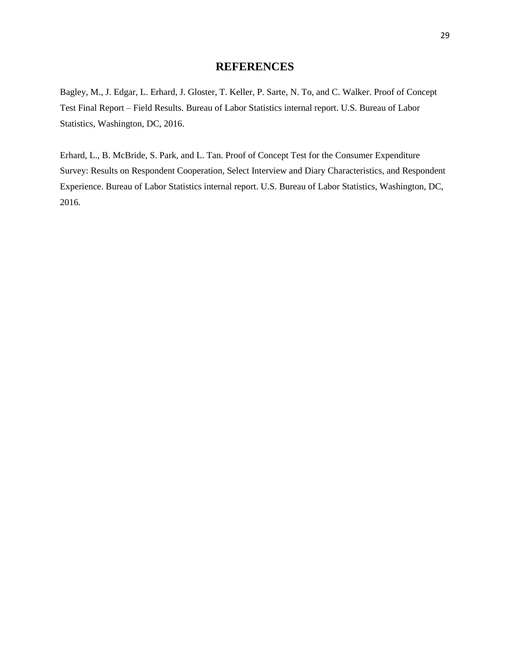# **REFERENCES**

Bagley, M., J. Edgar, L. Erhard, J. Gloster, T. Keller, P. Sarte, N. To, and C. Walker. Proof of Concept Test Final Report – Field Results. Bureau of Labor Statistics internal report. U.S. Bureau of Labor Statistics, Washington, DC, 2016.

Erhard, L., B. McBride, S. Park, and L. Tan. Proof of Concept Test for the Consumer Expenditure Survey: Results on Respondent Cooperation, Select Interview and Diary Characteristics, and Respondent Experience. Bureau of Labor Statistics internal report. U.S. Bureau of Labor Statistics, Washington, DC, 2016.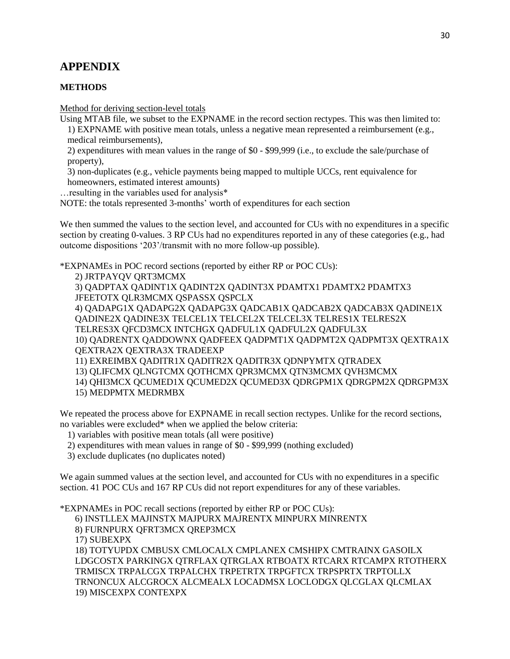# <span id="page-29-0"></span>**APPENDIX**

## **METHODS**

Method for deriving section-level totals

Using MTAB file, we subset to the EXPNAME in the record section rectypes. This was then limited to:

1) EXPNAME with positive mean totals, unless a negative mean represented a reimbursement (e.g., medical reimbursements),

2) expenditures with mean values in the range of \$0 - \$99,999 (i.e., to exclude the sale/purchase of property),

3) non-duplicates (e.g., vehicle payments being mapped to multiple UCCs, rent equivalence for homeowners, estimated interest amounts)

…resulting in the variables used for analysis\*

NOTE: the totals represented 3-months' worth of expenditures for each section

We then summed the values to the section level, and accounted for CUs with no expenditures in a specific section by creating 0-values. 3 RP CUs had no expenditures reported in any of these categories (e.g., had outcome dispositions '203'/transmit with no more follow-up possible).

\*EXPNAMEs in POC record sections (reported by either RP or POC CUs):

2) JRTPAYQV QRT3MCMX

3) QADPTAX QADINT1X QADINT2X QADINT3X PDAMTX1 PDAMTX2 PDAMTX3 JFEETOTX QLR3MCMX QSPASSX QSPCLX

4) QADAPG1X QADAPG2X QADAPG3X QADCAB1X QADCAB2X QADCAB3X QADINE1X QADINE2X QADINE3X TELCEL1X TELCEL2X TELCEL3X TELRES1X TELRES2X

TELRES3X QFCD3MCX INTCHGX QADFUL1X QADFUL2X QADFUL3X

10) QADRENTX QADDOWNX QADFEEX QADPMT1X QADPMT2X QADPMT3X QEXTRA1X QEXTRA2X QEXTRA3X TRADEEXP

11) EXREIMBX QADITR1X QADITR2X QADITR3X QDNPYMTX QTRADEX

13) QLIFCMX QLNGTCMX QOTHCMX QPR3MCMX QTN3MCMX QVH3MCMX

14) QHI3MCX QCUMED1X QCUMED2X QCUMED3X QDRGPM1X QDRGPM2X QDRGPM3X

15) MEDPMTX MEDRMBX

We repeated the process above for EXPNAME in recall section rectypes. Unlike for the record sections, no variables were excluded\* when we applied the below criteria:

1) variables with positive mean totals (all were positive)

2) expenditures with mean values in range of \$0 - \$99,999 (nothing excluded)

3) exclude duplicates (no duplicates noted)

We again summed values at the section level, and accounted for CUs with no expenditures in a specific section. 41 POC CUs and 167 RP CUs did not report expenditures for any of these variables.

\*EXPNAMEs in POC recall sections (reported by either RP or POC CUs):

6) INSTLLEX MAJINSTX MAJPURX MAJRENTX MINPURX MINRENTX

8) FURNPURX QFRT3MCX QREP3MCX

17) SUBEXPX

18) TOTYUPDX CMBUSX CMLOCALX CMPLANEX CMSHIPX CMTRAINX GASOILX LDGCOSTX PARKINGX QTRFLAX QTRGLAX RTBOATX RTCARX RTCAMPX RTOTHERX TRMISCX TRPALCGX TRPALCHX TRPETRTX TRPGFTCX TRPSPRTX TRPTOLLX TRNONCUX ALCGROCX ALCMEALX LOCADMSX LOCLODGX QLCGLAX QLCMLAX 19) MISCEXPX CONTEXPX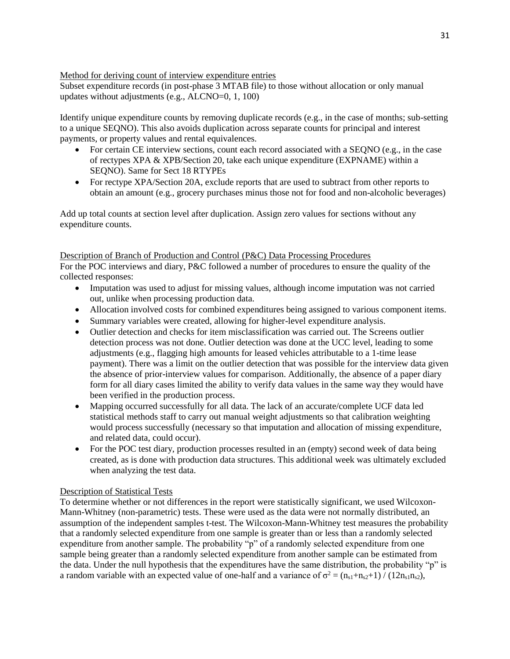### Method for deriving count of interview expenditure entries

Subset expenditure records (in post-phase 3 MTAB file) to those without allocation or only manual updates without adjustments (e.g., ALCNO=0, 1, 100)

Identify unique expenditure counts by removing duplicate records (e.g., in the case of months; sub-setting to a unique SEQNO). This also avoids duplication across separate counts for principal and interest payments, or property values and rental equivalences.

- For certain CE interview sections, count each record associated with a SEQNO (e.g., in the case of rectypes XPA & XPB/Section 20, take each unique expenditure (EXPNAME) within a SEQNO). Same for Sect 18 RTYPEs
- For rectype XPA/Section 20A, exclude reports that are used to subtract from other reports to obtain an amount (e.g., grocery purchases minus those not for food and non-alcoholic beverages)

Add up total counts at section level after duplication. Assign zero values for sections without any expenditure counts.

#### Description of Branch of Production and Control (P&C) Data Processing Procedures

For the POC interviews and diary, P&C followed a number of procedures to ensure the quality of the collected responses:

- Imputation was used to adjust for missing values, although income imputation was not carried out, unlike when processing production data.
- Allocation involved costs for combined expenditures being assigned to various component items.
- Summary variables were created, allowing for higher-level expenditure analysis.
- Outlier detection and checks for item misclassification was carried out. The Screens outlier detection process was not done. Outlier detection was done at the UCC level, leading to some adjustments (e.g., flagging high amounts for leased vehicles attributable to a 1-time lease payment). There was a limit on the outlier detection that was possible for the interview data given the absence of prior-interview values for comparison. Additionally, the absence of a paper diary form for all diary cases limited the ability to verify data values in the same way they would have been verified in the production process.
- Mapping occurred successfully for all data. The lack of an accurate/complete UCF data led statistical methods staff to carry out manual weight adjustments so that calibration weighting would process successfully (necessary so that imputation and allocation of missing expenditure, and related data, could occur).
- For the POC test diary, production processes resulted in an (empty) second week of data being created, as is done with production data structures. This additional week was ultimately excluded when analyzing the test data.

### Description of Statistical Tests

To determine whether or not differences in the report were statistically significant, we used Wilcoxon-Mann-Whitney (non-parametric) tests. These were used as the data were not normally distributed, an assumption of the independent samples t-test. The Wilcoxon-Mann-Whitney test measures the probability that a randomly selected expenditure from one sample is greater than or less than a randomly selected expenditure from another sample. The probability "p" of a randomly selected expenditure from one sample being greater than a randomly selected expenditure from another sample can be estimated from the data. Under the null hypothesis that the expenditures have the same distribution, the probability "p" is a random variable with an expected value of one-half and a variance of  $\sigma^2 = (n_{s1} + n_{s2} + 1) / (12n_{s1}n_{s2})$ ,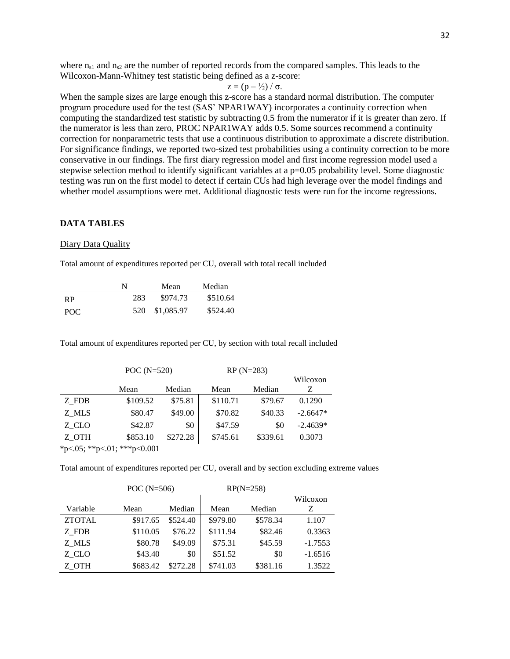where  $n_{s1}$  and  $n_{s2}$  are the number of reported records from the compared samples. This leads to the Wilcoxon-Mann-Whitney test statistic being defined as a z-score:

$$
z = (p - \frac{1}{2}) / \sigma.
$$

When the sample sizes are large enough this z-score has a standard normal distribution. The computer program procedure used for the test (SAS' NPAR1WAY) incorporates a continuity correction when computing the standardized test statistic by subtracting 0.5 from the numerator if it is greater than zero. If the numerator is less than zero, PROC NPAR1WAY adds 0.5. Some sources recommend a continuity correction for nonparametric tests that use a continuous distribution to approximate a discrete distribution. For significance findings, we reported two-sized test probabilities using a continuity correction to be more conservative in our findings. The first diary regression model and first income regression model used a stepwise selection method to identify significant variables at a p=0.05 probability level. Some diagnostic testing was run on the first model to detect if certain CUs had high leverage over the model findings and whether model assumptions were met. Additional diagnostic tests were run for the income regressions.

#### **DATA TABLES**

#### Diary Data Quality

Total amount of expenditures reported per CU, overall with total recall included

|           | N   | Mean       | Median   |
|-----------|-----|------------|----------|
| <b>RP</b> | 283 | \$974.73   | \$510.64 |
| POC.      | 520 | \$1,085.97 | \$524.40 |

Total amount of expenditures reported per CU, by section with total recall included

|       | POC $(N=520)$ |          | $RP(N=283)$ |          |            |
|-------|---------------|----------|-------------|----------|------------|
|       |               |          |             |          | Wilcoxon   |
|       | Mean          | Median   | Mean        | Median   | Ζ          |
| Z FDB | \$109.52      | \$75.81  | \$110.71    | \$79.67  | 0.1290     |
| Z MLS | \$80.47       | \$49.00  | \$70.82     | \$40.33  | $-2.6647*$ |
| Z CLO | \$42.87       | \$0      | \$47.59     | \$0      | $-2.4639*$ |
| Z OTH | \$853.10      | \$272.28 | \$745.61    | \$339.61 | 0.3073     |

 $*_{p<.05}$ ;  $*_{p<.01}$ ;  $*_{p<.001}$ 

Total amount of expenditures reported per CU, overall and by section excluding extreme values

|               | POC $(N=506)$ |          |          | $RP(N=258)$ |           |  |
|---------------|---------------|----------|----------|-------------|-----------|--|
|               |               |          |          |             |           |  |
| Variable      | Mean          | Median   | Mean     | Median      | Z         |  |
| <b>ZTOTAL</b> | \$917.65      | \$524.40 | \$979.80 | \$578.34    | 1.107     |  |
| Z FDB         | \$110.05      | \$76.22  | \$111.94 | \$82.46     | 0.3363    |  |
| Z MLS         | \$80.78       | \$49.09  | \$75.31  | \$45.59     | $-1.7553$ |  |
| Z CLO         | \$43.40       | \$0      | \$51.52  | \$0         | $-1.6516$ |  |
| Z OTH         | \$683.42      | \$272.28 | \$741.03 | \$381.16    | 1.3522    |  |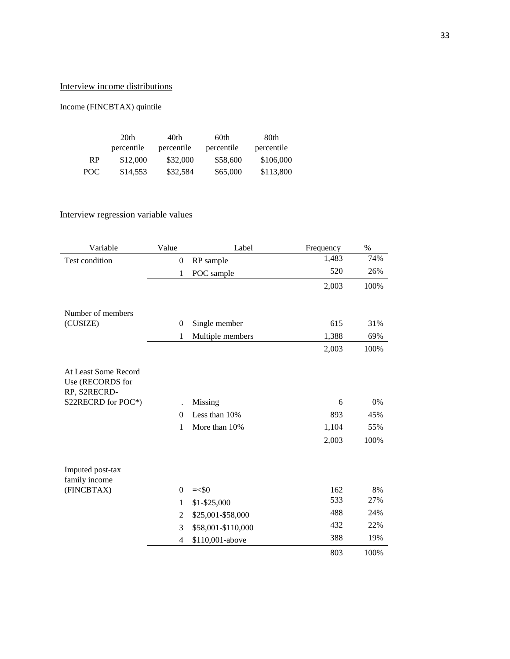# Interview income distributions

# Income (FINCBTAX) quintile

|      | 20 <sub>th</sub> | 40th       | 60th       | 80th       |
|------|------------------|------------|------------|------------|
|      | percentile       | percentile | percentile | percentile |
| RP   | \$12,000         | \$32,000   | \$58,600   | \$106,000  |
| POC. | \$14,553         | \$32,584   | \$65,000   | \$113,800  |

# Interview regression variable values

| Variable                                                 | Value            | Label              | Frequency | %    |
|----------------------------------------------------------|------------------|--------------------|-----------|------|
| Test condition                                           | $\boldsymbol{0}$ | RP sample          | 1,483     | 74%  |
|                                                          | 1                | POC sample         | 520       | 26%  |
|                                                          |                  |                    | 2,003     | 100% |
| Number of members                                        |                  |                    |           |      |
| (CUSIZE)                                                 | $\theta$         | Single member      | 615       | 31%  |
|                                                          | 1                | Multiple members   | 1,388     | 69%  |
|                                                          |                  |                    | 2,003     | 100% |
| At Least Some Record<br>Use (RECORDS for<br>RP, S2RECRD- |                  |                    |           |      |
| S22RECRD for POC*)                                       |                  | Missing            | 6         | 0%   |
|                                                          | $\Omega$         | Less than 10%      | 893       | 45%  |
|                                                          | 1                | More than 10%      | 1,104     | 55%  |
|                                                          |                  |                    | 2,003     | 100% |
| Imputed post-tax<br>family income                        |                  |                    |           |      |
| (FINCBTAX)                                               | $\Omega$         | $=<$ \$0           | 162       | 8%   |
|                                                          | 1                | \$1-\$25,000       | 533       | 27%  |
|                                                          | $\overline{2}$   | \$25,001-\$58,000  | 488       | 24%  |
|                                                          | 3                | \$58,001-\$110,000 | 432       | 22%  |
|                                                          | $\overline{4}$   | \$110,001-above    | 388       | 19%  |
|                                                          |                  |                    | 803       | 100% |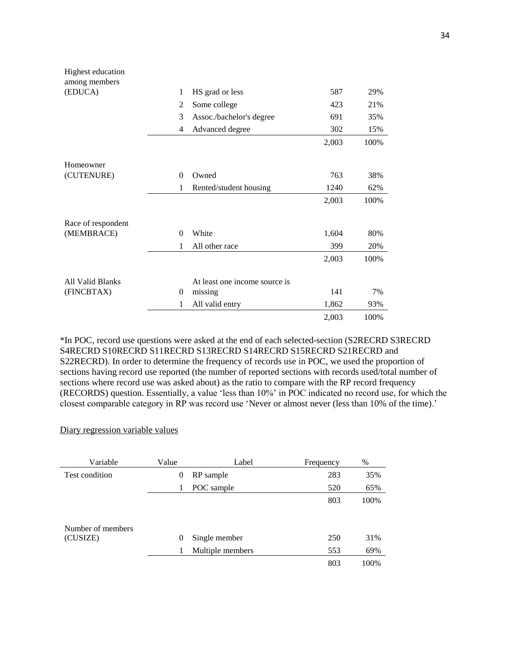| Highest education  |          |                               |       |      |
|--------------------|----------|-------------------------------|-------|------|
| among members      |          |                               |       |      |
| (EDUCA)            | 1        | HS grad or less               | 587   | 29%  |
|                    | 2        | Some college                  | 423   | 21%  |
|                    | 3        | Assoc./bachelor's degree      | 691   | 35%  |
|                    | 4        | Advanced degree               | 302   | 15%  |
|                    |          |                               | 2,003 | 100% |
| Homeowner          |          |                               |       |      |
|                    | $\Omega$ | Owned                         | 763   |      |
| (CUTENURE)         |          |                               |       | 38%  |
|                    | 1        | Rented/student housing        | 1240  | 62%  |
|                    |          |                               | 2,003 | 100% |
| Race of respondent |          |                               |       |      |
| (MEMBRACE)         | $\Omega$ | White                         | 1,604 | 80%  |
|                    | 1        | All other race                | 399   | 20%  |
|                    |          |                               | 2,003 | 100% |
| All Valid Blanks   |          | At least one income source is |       |      |
|                    |          |                               |       |      |
| (FINCBTAX)         | 0        | missing                       | 141   | 7%   |
|                    | 1        | All valid entry               | 1,862 | 93%  |
|                    |          |                               | 2,003 | 100% |

\*In POC, record use questions were asked at the end of each selected-section (S2RECRD S3RECRD S4RECRD S10RECRD S11RECRD S13RECRD S14RECRD S15RECRD S21RECRD and S22RECRD). In order to determine the frequency of records use in POC, we used the proportion of sections having record use reported (the number of reported sections with records used/total number of sections where record use was asked about) as the ratio to compare with the RP record frequency (RECORDS) question. Essentially, a value 'less than 10%' in POC indicated no record use, for which the closest comparable category in RP was record use 'Never or almost never (less than 10% of the time).'

#### Diary regression variable values

| Variable          | Value    | Label            | Frequency | %    |
|-------------------|----------|------------------|-----------|------|
| Test condition    | $\theta$ | RP sample        | 283       | 35%  |
|                   |          | POC sample       | 520       | 65%  |
|                   |          |                  | 803       | 100% |
|                   |          |                  |           |      |
| Number of members |          |                  |           |      |
| (CUSIZE)          | $\theta$ | Single member    | 250       | 31%  |
|                   |          | Multiple members | 553       | 69%  |
|                   |          |                  | 803       | 100% |